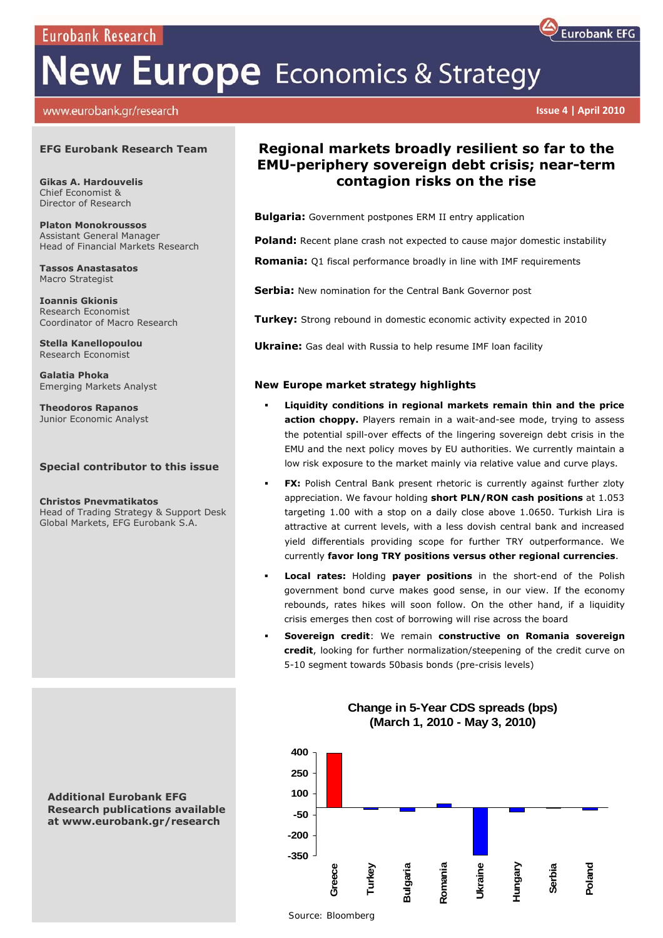**Eurobank Research** 

# **New Europe** Economics & Strategy

## www.eurobank.gr/research

#### **EFG Eurobank Research Team**

**Gikas A. Hardouvelis**  Chief Economist & Director of Research

**Platon Monokroussos**  Assistant General Manager Head of Financial Markets Research

**Tassos Anastasatos**  Macro Strategist

**Ioannis Gkionis**  Research Economist Coordinator of Macro Research

**Stella Kanellopoulou**  Research Economist

**Galatia Phoka**  Emerging Markets Analyst

**Theodoros Rapanos**  Junior Economic Analyst

## **Special contributor to this issue**

**Christos Pnevmatikatos**  Head of Trading Strategy & Support Desk Global Markets, EFG Eurobank S.A.

**Additional Eurobank EFG Research publications available at www.eurobank.gr/research** 

## **Regional markets broadly resilient so far to the EMU-periphery sovereign debt crisis; near-term contagion risks on the rise**

**Bulgaria:** Government postpones ERM II entry application

**Poland:** Recent plane crash not expected to cause major domestic instability

**Romania:** Q1 fiscal performance broadly in line with IMF requirements

**Serbia:** New nomination for the Central Bank Governor post

**Turkey:** Strong rebound in domestic economic activity expected in 2010

**Ukraine:** Gas deal with Russia to help resume IMF loan facility

## *New Europe market strategy highlights*

- **Liquidity conditions in regional markets remain thin and the price**  action choppy. Players remain in a wait-and-see mode, trying to assess the potential spill-over effects of the lingering sovereign debt crisis in the EMU and the next policy moves by EU authorities. We currently maintain a low risk exposure to the market mainly via relative value and curve plays.
- **FX:** Polish Central Bank present rhetoric is currently against further zloty appreciation. We favour holding **short PLN/RON cash positions** at 1.053 targeting 1.00 with a stop on a daily close above 1.0650. Turkish Lira is attractive at current levels, with a less dovish central bank and increased yield differentials providing scope for further TRY outperformance. We currently **favor long TRY positions versus other regional currencies**.
- **Local rates:** Holding **payer positions** in the short-end of the Polish government bond curve makes good sense, in our view. If the economy rebounds, rates hikes will soon follow. On the other hand, if a liquidity crisis emerges then cost of borrowing will rise across the board
- **Sovereign credit**: We remain **constructive on Romania sovereign credit**, looking for further normalization/steepening of the credit curve on 5-10 segment towards 50basis bonds (pre-crisis levels)



**Change in 5-Year CDS spreads (bps) (March 1, 2010 - May 3, 2010)**



 **Issue 4 | April 2010**

 *Source: Bloomberg*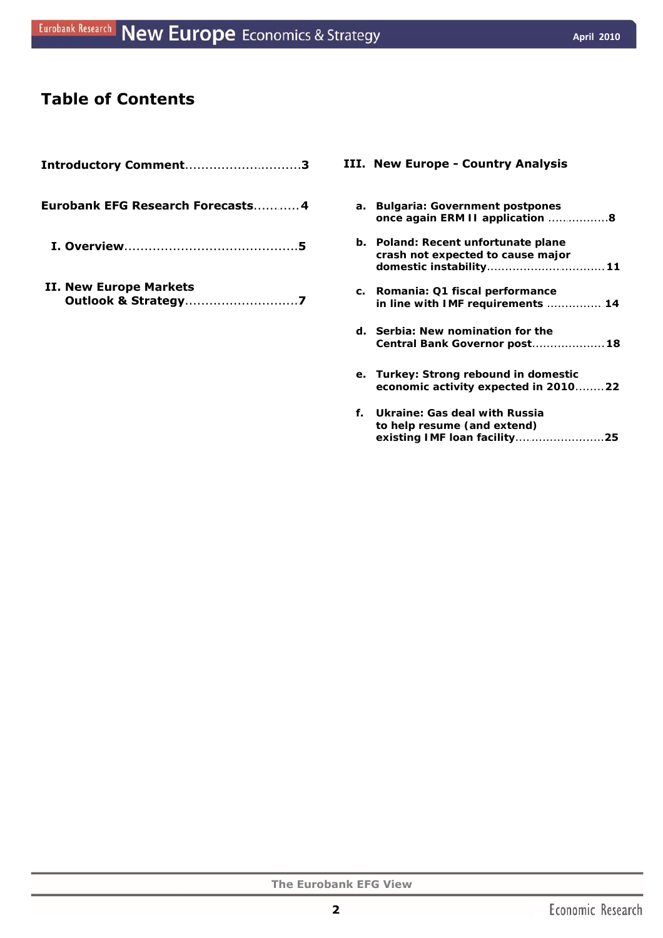## **Table of Contents**

| Introductory Comment3                                    |
|----------------------------------------------------------|
| Eurobank EFG Research Forecasts4                         |
|                                                          |
| II. New Europe Markets<br><b>Outlook &amp; Strategy7</b> |

## **III. New Europe - Country Analysis**

| а. | <b>Bulgaria: Government postpones</b><br>once again ERM II application 8                                  |
|----|-----------------------------------------------------------------------------------------------------------|
|    | <b>b.</b> Poland: Recent unfortunate plane<br>crash not expected to cause major<br>domestic instability11 |
|    | c. Romania: Q1 fiscal performance<br>in line with IMF requirements  14                                    |
|    | d. Serbia: New nomination for the<br>Central Bank Governor post 18                                        |
|    | e. Turkey: Strong rebound in domestic<br>economic activity expected in 201022                             |

**f. Ukraine:** *Gas deal with Russia to help resume (and extend) existing IMF loan facility*.... .................... . **25**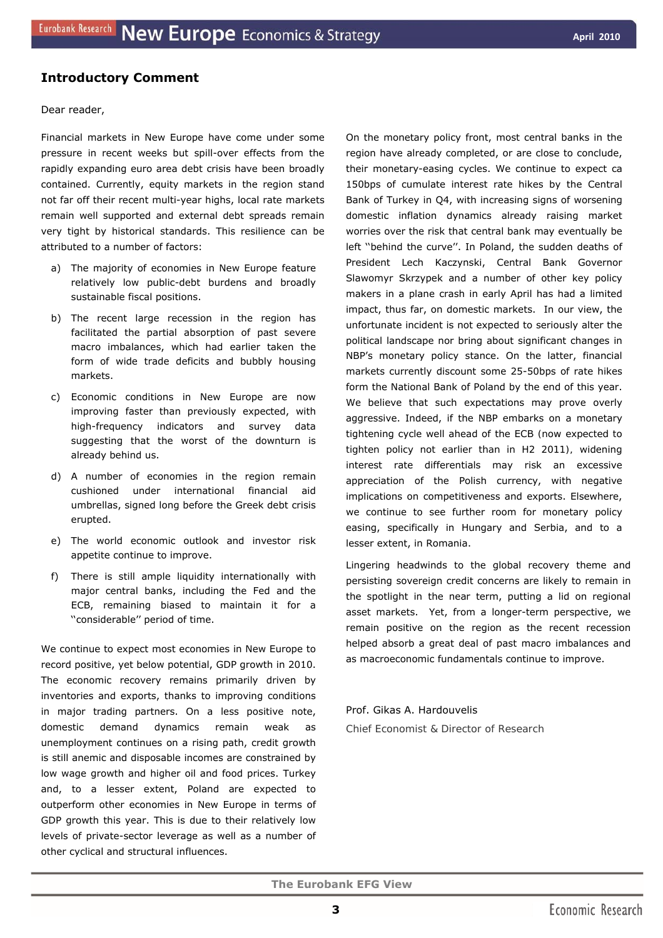## **Introductory Comment**

#### Dear reader,

Financial markets in New Europe have come under some pressure in recent weeks but spill-over effects from the rapidly expanding euro area debt crisis have been broadly contained. Currently, equity markets in the region stand not far off their recent multi-year highs, local rate markets remain well supported and external debt spreads remain very tight by historical standards. This resilience can be attributed to a number of factors:

- a) The majority of economies in New Europe feature relatively low public-debt burdens and broadly sustainable fiscal positions.
- b) The recent large recession in the region has facilitated the partial absorption of past severe macro imbalances, which had earlier taken the form of wide trade deficits and bubbly housing markets.
- c) Economic conditions in New Europe are now improving faster than previously expected, with high-frequency indicators and survey data suggesting that the worst of the downturn is already behind us.
- d) A number of economies in the region remain cushioned under international financial aid umbrellas, signed long before the Greek debt crisis erupted.
- e) The world economic outlook and investor risk appetite continue to improve.
- f) There is still ample liquidity internationally with major central banks, including the Fed and the ECB, remaining biased to maintain it for a ''considerable'' period of time.

We continue to expect most economies in New Europe to record positive, yet below potential, GDP growth in 2010. The economic recovery remains primarily driven by inventories and exports, thanks to improving conditions in major trading partners. On a less positive note, domestic demand dynamics remain weak as unemployment continues on a rising path, credit growth is still anemic and disposable incomes are constrained by low wage growth and higher oil and food prices. Turkey and, to a lesser extent, Poland are expected to outperform other economies in New Europe in terms of GDP growth this year. This is due to their relatively low levels of private-sector leverage as well as a number of other cyclical and structural influences.

On the monetary policy front, most central banks in the region have already completed, or are close to conclude, their monetary-easing cycles. We continue to expect ca 150bps of cumulate interest rate hikes by the Central Bank of Turkey in Q4, with increasing signs of worsening domestic inflation dynamics already raising market worries over the risk that central bank may eventually be left ''behind the curve''. In Poland, the sudden deaths of President Lech Kaczynski, Central Bank Governor Slawomyr Skrzypek and a number of other key policy makers in a plane crash in early April has had a limited impact, thus far, on domestic markets. In our view, the unfortunate incident is not expected to seriously alter the political landscape nor bring about significant changes in NBP's monetary policy stance. On the latter, financial markets currently discount some 25-50bps of rate hikes form the National Bank of Poland by the end of this year. We believe that such expectations may prove overly aggressive. Indeed, if the NBP embarks on a monetary tightening cycle well ahead of the ECB *(now expected to tighten policy not earlier than in H2 2011),* widening interest rate differentials may risk an excessive appreciation of the Polish currency, with negative implications on competitiveness and exports. Elsewhere, we continue to see further room for monetary policy easing, specifically in Hungary and Serbia, and to a lesser extent, in Romania.

Lingering headwinds to the global recovery theme and persisting sovereign credit concerns are likely to remain in the spotlight in the near term, putting a lid on regional asset markets. Yet, from a longer-term perspective, we remain positive on the region as the recent recession helped absorb a great deal of past macro imbalances and as macroeconomic fundamentals continue to improve.

Prof. Gikas A. Hardouvelis *Chief Economist & Director of Research*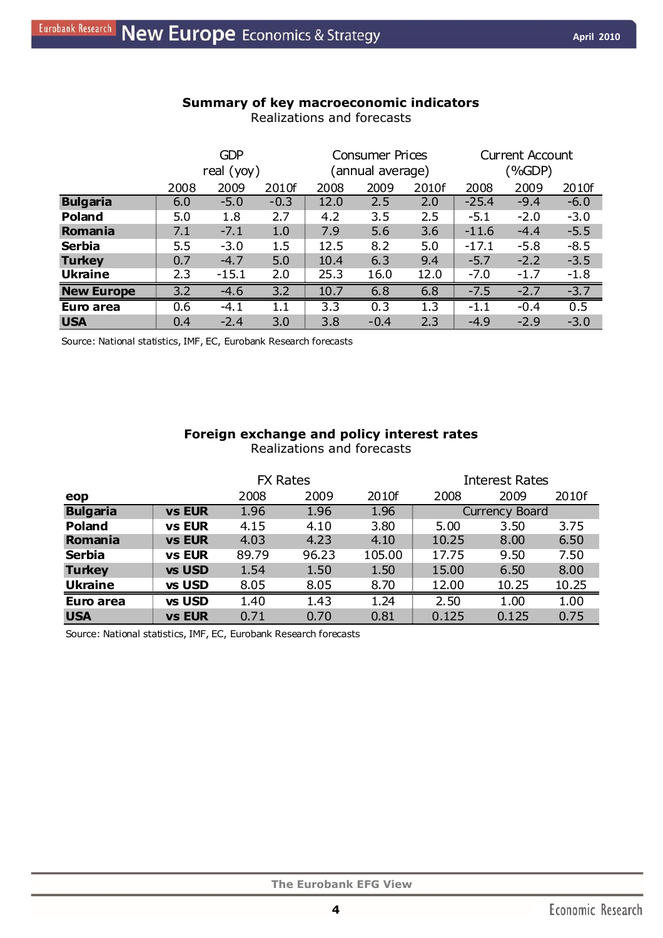| Summary of key macroeconomic indicators |  |
|-----------------------------------------|--|
| Realizations and forecasts              |  |

|                   | <b>GDP</b><br>real $(yoy)$ |         | <b>Consumer Prices</b><br>annual average) |      |        | <b>Current Account</b><br>(%GDP) |         |        |        |
|-------------------|----------------------------|---------|-------------------------------------------|------|--------|----------------------------------|---------|--------|--------|
|                   | 2008                       | 2009    | 2010f                                     | 2008 | 2009   | 2010f                            | 2008    | 2009   | 2010f  |
| <b>Bulgaria</b>   | 6.0                        | $-5.0$  | $-0.3$                                    | 12.0 | 2.5    | 2.0                              | $-25.4$ | $-9.4$ | $-6.0$ |
| <b>Poland</b>     | 5.0                        | 1.8     | 2.7                                       | 4.2  | 3.5    | 2.5                              | $-5.1$  | $-2.0$ | $-3.0$ |
| Romania           | 7.1                        | $-7.1$  | 1.0                                       | 7.9  | 5.6    | 3.6                              | $-11.6$ | $-4.4$ | $-5.5$ |
| <b>Serbia</b>     | 5.5                        | $-3.0$  | 1.5                                       | 12.5 | 8.2    | 5.0                              | $-17.1$ | $-5.8$ | $-8.5$ |
| <b>Turkey</b>     | 0.7                        | $-4.7$  | 5.0                                       | 10.4 | 6.3    | 9.4                              | $-5.7$  | $-2.2$ | $-3.5$ |
| <b>Ukraine</b>    | 2.3                        | $-15.1$ | 2.0                                       | 25.3 | 16.0   | 12.0                             | $-7.0$  | $-1.7$ | $-1.8$ |
| <b>New Europe</b> | 3.2                        | $-4.6$  | 3.2                                       | 10.7 | 6.8    | 6.8                              | $-7.5$  | $-2.7$ | $-3.7$ |
| Euro area         | 0.6                        | $-4.1$  | 1.1                                       | 3.3  | 0.3    | 1.3                              | $-1.1$  | $-0.4$ | 0.5    |
| <b>USA</b>        | 0.4                        | $-2.4$  | 3.0                                       | 3.8  | $-0.4$ | 2.3                              | $-4.9$  | $-2.9$ | $-3.0$ |

Source: National statistics, IMF, EC, Eurobank Research forecasts

## **Foreign exchange and policy interest rates**  Realizations and forecasts

|                 |               | <b>FX Rates</b><br><b>Interest Rates</b> |       |        |       |                       |       |  |
|-----------------|---------------|------------------------------------------|-------|--------|-------|-----------------------|-------|--|
| eop             |               | 2008                                     | 2009  | 2010f  | 2008  | 2009                  | 2010f |  |
| <b>Bulgaria</b> | <b>vs EUR</b> | 1.96                                     | 1.96  | 1.96   |       | <b>Currency Board</b> |       |  |
| Poland          | <b>vs EUR</b> | 4.15                                     | 4.10  | 3.80   | 5.00  | 3.50                  | 3.75  |  |
| Romania         | <b>vs EUR</b> | 4.03                                     | 4.23  | 4.10   | 10.25 | 8.00                  | 6.50  |  |
| <b>Serbia</b>   | <b>vs EUR</b> | 89.79                                    | 96.23 | 105.00 | 17.75 | 9.50                  | 7.50  |  |
| <b>Turkey</b>   | vs USD        | 1.54                                     | 1.50  | 1.50   | 15.00 | 6.50                  | 8.00  |  |
| <b>Ukraine</b>  | vs USD        | 8.05                                     | 8.05  | 8.70   | 12.00 | 10.25                 | 10.25 |  |
| Euro area       | vs USD        | 1.40                                     | 1.43  | 1.24   | 2.50  | 1.00                  | 1.00  |  |
| <b>USA</b>      | <b>vs EUR</b> | 0.71                                     | 0.70  | 0.81   | 0.125 | 0.125                 | 0.75  |  |

Source: National statistics, IMF, EC, Eurobank Research forecasts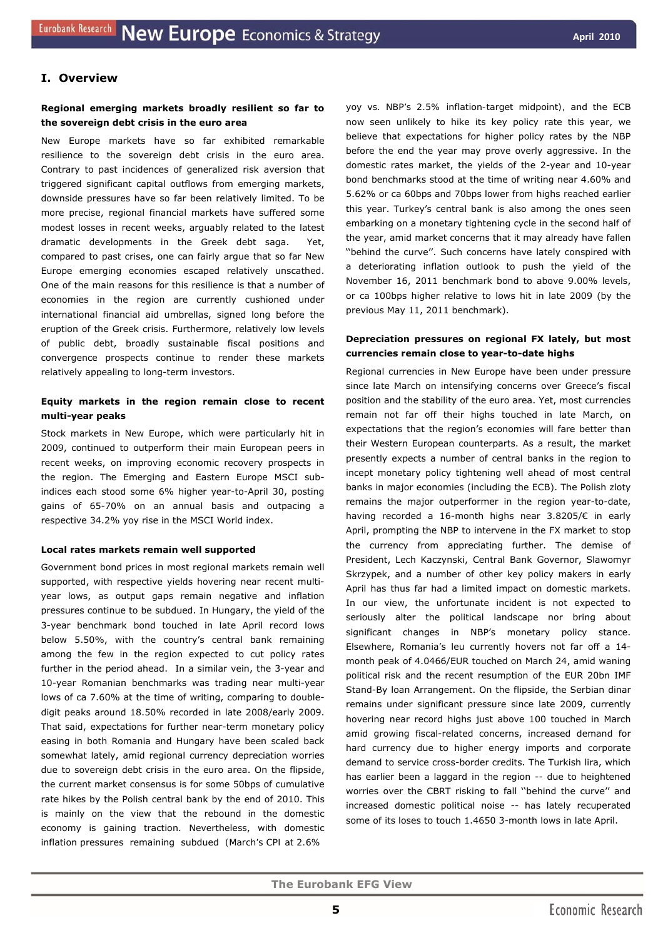## **I. Overview**

#### **Regional emerging markets broadly resilient so far to the sovereign debt crisis in the euro area**

New Europe markets have so far exhibited remarkable resilience to the sovereign debt crisis in the euro area. Contrary to past incidences of generalized risk aversion that triggered significant capital outflows from emerging markets, downside pressures have so far been relatively limited. To be more precise, regional financial markets have suffered some modest losses in recent weeks, arguably related to the latest dramatic developments in the Greek debt saga. Yet, compared to past crises, one can fairly argue that so far New Europe emerging economies escaped relatively unscathed. One of the main reasons for this resilience is that a number of economies in the region are currently cushioned under international financial aid umbrellas, signed long before the eruption of the Greek crisis. Furthermore, relatively low levels of public debt, broadly sustainable fiscal positions and convergence prospects continue to render these markets relatively appealing to long-term investors.

## **Equity markets in the region remain close to recent multi-year peaks**

Stock markets in New Europe, which were particularly hit in 2009, continued to outperform their main European peers in recent weeks, on improving economic recovery prospects in the region. The Emerging and Eastern Europe MSCI subindices each stood some 6% higher year-to-April 30, posting gains of 65-70% on an annual basis and outpacing a respective 34.2% yoy rise in the MSCI World index.

#### **Local rates markets remain well supported**

Government bond prices in most regional markets remain well supported, with respective yields hovering near recent multiyear lows, as output gaps remain negative and inflation pressures continue to be subdued. In Hungary, the yield of the 3-year benchmark bond touched in late April record lows below 5.50%, with the country's central bank remaining among the few in the region expected to cut policy rates further in the period ahead. In a similar vein, the 3-year and 10-year Romanian benchmarks was trading near multi-year lows of ca 7.60% at the time of writing, comparing to doubledigit peaks around 18.50% recorded in late 2008/early 2009. That said, expectations for further near-term monetary policy easing in both Romania and Hungary have been scaled back somewhat lately, amid regional currency depreciation worries due to sovereign debt crisis in the euro area. On the flipside, the current market consensus is for some 50bps of cumulative rate hikes by the Polish central bank by the end of 2010. This is mainly on the view that the rebound in the domestic economy is gaining traction. Nevertheless, with domestic inflation pressures remaining subdued *(March's CPI at 2.6%* 

*yoy vs. NBP's 2.5% inflation-target midpoint),* and the ECB now seen unlikely to hike its key policy rate this year, we believe that expectations for higher policy rates by the NBP before the end the year may prove overly aggressive. In the domestic rates market, the yields of the 2-year and 10-year bond benchmarks stood at the time of writing near 4.60% and 5.62% or ca 60bps and 70bps lower from highs reached earlier this year. Turkey's central bank is also among the ones seen embarking on a monetary tightening cycle in the second half of the year, amid market concerns that it may already have fallen ''behind the curve''. Such concerns have lately conspired with a deteriorating inflation outlook to push the yield of the November 16, 2011 benchmark bond to above 9.00% levels, or ca 100bps higher relative to lows hit in late 2009 (by the previous May 11, 2011 benchmark).

## **Depreciation pressures on regional FX lately, but most currencies remain close to year-to-date highs**

Regional currencies in New Europe have been under pressure since late March on intensifying concerns over Greece's fiscal position and the stability of the euro area. Yet, most currencies remain not far off their highs touched in late March, on expectations that the region's economies will fare better than their Western European counterparts. As a result, the market presently expects a number of central banks in the region to incept monetary policy tightening well ahead of most central banks in major economies (including the ECB). The Polish zloty remains the major outperformer in the region year-to-date, having recorded a 16-month highs near 3.8205/€ in early April, prompting the NBP to intervene in the FX market to stop the currency from appreciating further. The demise of President, Lech Kaczynski, Central Bank Governor, Slawomyr Skrzypek, and a number of other key policy makers in early April has thus far had a limited impact on domestic markets. In our view, the unfortunate incident is not expected to seriously alter the political landscape nor bring about significant changes in NBP's monetary policy stance. Elsewhere, Romania's leu currently hovers not far off a 14 month peak of 4.0466/EUR touched on March 24, amid waning political risk and the recent resumption of the EUR 20bn IMF Stand-By loan Arrangement. On the flipside, the Serbian dinar remains under significant pressure since late 2009, currently hovering near record highs just above 100 touched in March amid growing fiscal-related concerns, increased demand for hard currency due to higher energy imports and corporate demand to service cross-border credits. The Turkish lira, which has earlier been a laggard in the region -- due to heightened worries over the CBRT risking to fall ''behind the curve'' and increased domestic political noise -- has lately recuperated some of its loses to touch 1.4650 3-month lows in late April.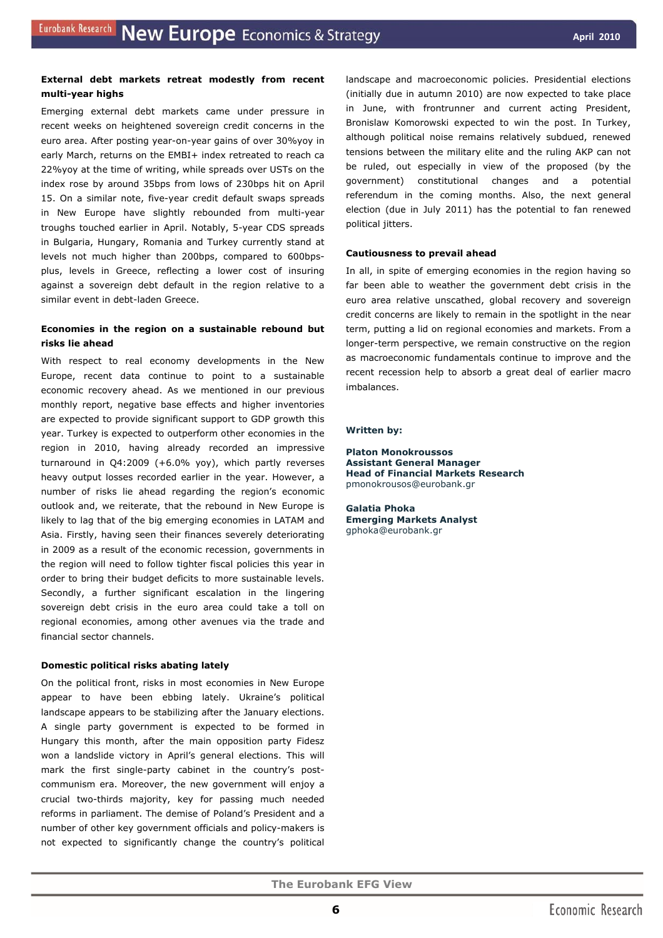#### **External debt markets retreat modestly from recent multi-year highs**

Emerging external debt markets came under pressure in recent weeks on heightened sovereign credit concerns in the euro area. After posting year-on-year gains of over 30%yoy in early March, returns on the EMBI+ index retreated to reach ca 22%yoy at the time of writing, while spreads over USTs on the index rose by around 35bps from lows of 230bps hit on April 15. On a similar note, five-year credit default swaps spreads in New Europe have slightly rebounded from multi-year troughs touched earlier in April. Notably, 5-year CDS spreads in Bulgaria, Hungary, Romania and Turkey currently stand at levels not much higher than 200bps, compared to 600bpsplus, levels in Greece, reflecting a lower cost of insuring against a sovereign debt default in the region relative to a similar event in debt-laden Greece.

## **Economies in the region on a sustainable rebound but risks lie ahead**

With respect to real economy developments in the New Europe, recent data continue to point to a sustainable economic recovery ahead. As we mentioned in our previous monthly report, negative base effects and higher inventories are expected to provide significant support to GDP growth this year. Turkey is expected to outperform other economies in the region in 2010, having already recorded an impressive turnaround in Q4:2009 (+6.0% yoy), which partly reverses heavy output losses recorded earlier in the year. However, a number of risks lie ahead regarding the region's economic outlook and, we reiterate, that the rebound in New Europe is likely to lag that of the big emerging economies in LATAM and Asia. Firstly, having seen their finances severely deteriorating in 2009 as a result of the economic recession, governments in the region will need to follow tighter fiscal policies this year in order to bring their budget deficits to more sustainable levels. Secondly, a further significant escalation in the lingering sovereign debt crisis in the euro area could take a toll on regional economies, among other avenues via the trade and financial sector channels.

## **Domestic political risks abating lately**

On the political front, risks in most economies in New Europe appear to have been ebbing lately. Ukraine's political landscape appears to be stabilizing after the January elections. A single party government is expected to be formed in Hungary this month, after the main opposition party Fidesz won a landslide victory in April's general elections. This will mark the first single-party cabinet in the country's postcommunism era. Moreover, the new government will enjoy a crucial two-thirds majority, key for passing much needed reforms in parliament. The demise of Poland's President and a number of other key government officials and policy-makers is not expected to significantly change the country's political landscape and macroeconomic policies. Presidential elections (initially due in autumn 2010) are now expected to take place in June, with frontrunner and current acting President, Bronislaw Komorowski expected to win the post. In Turkey, although political noise remains relatively subdued, renewed tensions between the military elite and the ruling AKP can not be ruled, out especially in view of the proposed (by the government) constitutional changes and a potential referendum in the coming months. Also, the next general election (due in July 2011) has the potential to fan renewed political jitters.

#### **Cautiousness to prevail ahead**

In all, in spite of emerging economies in the region having so far been able to weather the government debt crisis in the euro area relative unscathed, global recovery and sovereign credit concerns are likely to remain in the spotlight in the near term, putting a lid on regional economies and markets. From a longer-term perspective, we remain constructive on the region as macroeconomic fundamentals continue to improve and the recent recession help to absorb a great deal of earlier macro imbalances.

#### *Written by:*

**Platon Monokroussos Assistant General Manager Head of Financial Markets Research**  pmonokrousos@eurobank.gr

**Galatia Phoka Emerging Markets Analyst** gphoka@eurobank.gr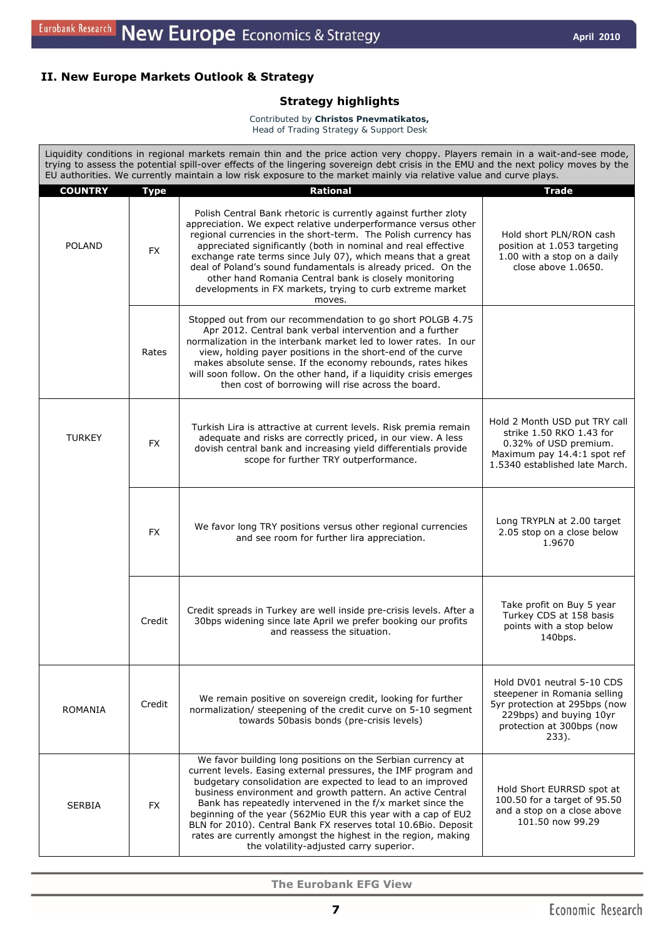## **II. New Europe Markets Outlook & Strategy**

## *Strategy highlights*

*Contributed by Christos Pnevmatikatos, Head of Trading Strategy & Support Desk* 

Liquidity conditions in regional markets remain thin and the price action very choppy. Players remain in a wait-and-see mode, trying to assess the potential spill-over effects of the lingering sovereign debt crisis in the EMU and the next policy moves by the EU authorities. We currently maintain a low risk exposure to the market mainly via relative value and curve plays. **COUNTRY Type Rational Trade**  POLAND FX Polish Central Bank rhetoric is currently against further zloty appreciation. We expect relative underperformance versus other regional currencies in the short-term. The Polish currency has appreciated significantly (both in nominal and real effective exchange rate terms since July 07), which means that a great deal of Poland's sound fundamentals is already priced. On the other hand Romania Central bank is closely monitoring developments in FX markets, trying to curb extreme market moves. Hold short PLN/RON cash position at 1.053 targeting 1.00 with a stop on a daily close above 1.0650. Rates Stopped out from our recommendation to go short POLGB 4.75 Apr 2012. Central bank verbal intervention and a further normalization in the interbank market led to lower rates. In our view, holding payer positions in the short-end of the curve makes absolute sense. If the economy rebounds, rates hikes will soon follow. On the other hand, if a liquidity crisis emerges then cost of borrowing will rise across the board. TURKEY | FX Turkish Lira is attractive at current levels. Risk premia remain adequate and risks are correctly priced, in our view. A less dovish central bank and increasing yield differentials provide scope for further TRY outperformance. Hold 2 Month USD put TRY call strike 1.50 RKO 1.43 for 0.32% of USD premium. Maximum pay 14.4:1 spot ref 1.5340 established late March.  $F_X$  We favor long TRY positions versus other regional currencies and see room for further lira appreciation. Long TRYPLN at 2.00 target 2.05 stop on a close below 1.9670 Credit Credit spreads in Turkey are well inside pre-crisis levels. After a 30bps widening since late April we prefer booking our profits and reassess the situation. Take profit on Buy 5 year Turkey CDS at 158 basis points with a stop below 140bps. ROMANIA Credit We remain positive on sovereign credit, looking for further<br>ROMANIA credit normalization/ steepening of the credit curve on 5-10 segment towards 50basis bonds (pre-crisis levels) Hold DV01 neutral 5-10 CDS steepener in Romania selling 5yr protection at 295bps (now 229bps) and buying 10yr protection at 300bps (now 233). SERBIA FX We favor building long positions on the Serbian currency at current levels. Easing external pressures, the IMF program and budgetary consolidation are expected to lead to an improved business environment and growth pattern. An active Central Bank has repeatedly intervened in the f/x market since the beginning of the year (562Mio EUR this year with a cap of EU2 BLN for 2010). Central Bank FX reserves total 10.6Bio. Deposit rates are currently amongst the highest in the region, making the volatility-adjusted carry superior. Hold Short EURRSD spot at 100.50 for a target of 95.50 and a stop on a close above 101.50 now 99.29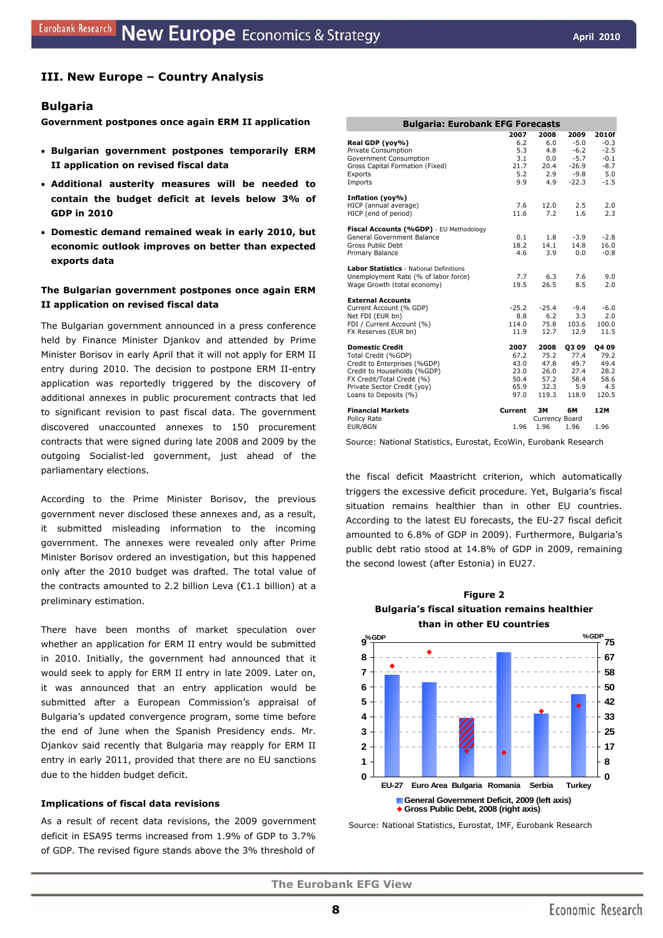## **III. New Europe – Country Analysis**

## **Bulgaria**

**Government postpones once again ERM II application** 

- **Bulgarian government postpones temporarily ERM II application on revised fiscal data**
- **Additional austerity measures will be needed to contain the budget deficit at levels below 3% of GDP in 2010**
- **Domestic demand remained weak in early 2010, but economic outlook improves on better than expected exports data**

## **The Bulgarian government postpones once again ERM II application on revised fiscal data**

The Bulgarian government announced in a press conference held by Finance Minister Djankov and attended by Prime Minister Borisov in early April that it will not apply for ERM II entry during 2010. The decision to postpone ERM II-entry application was reportedly triggered by the discovery of additional annexes in public procurement contracts that led to significant revision to past fiscal data. The government discovered unaccounted annexes to 150 procurement contracts that were signed during late 2008 and 2009 by the outgoing Socialist-led government, just ahead of the parliamentary elections.

According to the Prime Minister Borisov, the previous government never disclosed these annexes and, as a result, it submitted misleading information to the incoming government. The annexes were revealed only after Prime Minister Borisov ordered an investigation, but this happened only after the 2010 budget was drafted. The total value of the contracts amounted to 2.2 billion Leva (€1.1 billion) at a preliminary estimation.

There have been months of market speculation over whether an application for ERM II entry would be submitted in 2010. Initially, the government had announced that it would seek to apply for ERM II entry in late 2009. Later on, it was announced that an entry application would be submitted after a European Commission's appraisal of Bulgaria's updated convergence program, some time before the end of June when the Spanish Presidency ends. Mr. Djankov said recently that Bulgaria may reapply for ERM II entry in early 2011, provided that there are no EU sanctions due to the hidden budget deficit.

#### **Implications of fiscal data revisions**

As a result of recent data revisions, the 2009 government deficit in ESA95 terms increased from 1.9% of GDP to 3.7% of GDP. The revised figure stands above the 3% threshold of

| <b>Bulgaria: Eurobank EFG Forecasts</b>                                                                                                                                                            |                                                      |                                                       |                                                                    |                                                                |  |  |  |
|----------------------------------------------------------------------------------------------------------------------------------------------------------------------------------------------------|------------------------------------------------------|-------------------------------------------------------|--------------------------------------------------------------------|----------------------------------------------------------------|--|--|--|
| Real GDP (yoy%)<br>Private Consumption<br>Government Consumption<br>Gross Capital Formation (Fixed)<br>Exports<br>Imports                                                                          | 2007<br>6.2<br>5.3<br>3.1<br>21.7<br>5.2<br>9.9      | 2008<br>6.0<br>4.8<br>0.0<br>20.4<br>2.9<br>4.9       | 2009<br>$-5.0$<br>$-6.2$<br>$-5.7$<br>$-26.9$<br>$-9.8$<br>$-22.3$ | 2010f<br>$-0.3$<br>$-2.5$<br>$-0.1$<br>$-8.7$<br>5.0<br>$-1.5$ |  |  |  |
| Inflation (yoy%)<br>HICP (annual average)<br>HICP (end of period)                                                                                                                                  | 7.6<br>11.6                                          | 12.0<br>7.2                                           | 2.5<br>1.6                                                         | 2.0<br>2.3                                                     |  |  |  |
| Fiscal Accounts (%GDP) - EU Methodology<br>General Government Balance<br>Gross Public Debt<br>Primary Balance                                                                                      | 0.1<br>18.2<br>4.6                                   | 1.8<br>14.1<br>3.9                                    | $-3.9$<br>14.8<br>0.0                                              | $-2.8$<br>16.0<br>$-0.8$                                       |  |  |  |
| <b>Labor Statistics</b> - National Definitions<br>Unemployment Rate (% of labor force)<br>Wage Growth (total economy)                                                                              | 7.7<br>19.5                                          | 6.3<br>26.5                                           | 7.6<br>8.5                                                         | 9.0<br>2.0                                                     |  |  |  |
| <b>External Accounts</b><br>Current Account (% GDP)<br>Net FDI (EUR bn)<br>FDI / Current Account (%)<br>FX Reserves (EUR bn)                                                                       | $-25.2$<br>8.8<br>114.0<br>11.9                      | $-25.4$<br>6.2<br>75.8<br>12.7                        | $-9.4$<br>3.3<br>103.6<br>12.9                                     | $-6.0$<br>2.0<br>100.0<br>11.5                                 |  |  |  |
| <b>Domestic Credit</b><br>Total Credit (%GDP)<br>Credit to Enterprises (%GDP)<br>Credit to Households (%GDP)<br>FX Credit/Total Credit (%)<br>Private Sector Credit (yoy)<br>Loans to Deposits (%) | 2007<br>67.2<br>43.0<br>23.0<br>50.4<br>65.9<br>97.0 | 2008<br>75.2<br>47.8<br>26.0<br>57.2<br>32.3<br>119.3 | <b>Q309</b><br>77.4<br>49.7<br>27.4<br>58.4<br>5.9<br>118.9        | 04 09<br>79.2<br>49.4<br>28.2<br>58.6<br>4.5<br>120.5          |  |  |  |
| <b>Financial Markets</b><br>Policy Rate<br>EUR/BGN                                                                                                                                                 | Current<br>1.96                                      | ЗΜ<br>Currency Board<br>1.96                          | 6М<br>1.96                                                         | 12M<br>1.96                                                    |  |  |  |

Source: National Statistics, Eurostat, EcoWin, Eurobank Research

the fiscal deficit Maastricht criterion, which automatically triggers the excessive deficit procedure. Yet, Bulgaria's fiscal situation remains healthier than in other EU countries. According to the latest EU forecasts, the EU-27 fiscal deficit amounted to 6.8% of GDP in 2009). Furthermore, Bulgaria's public debt ratio stood at 14.8% of GDP in 2009, remaining the second lowest (after Estonia) in EU27.





Source: National Statistics, Eurostat, IMF, Eurobank Research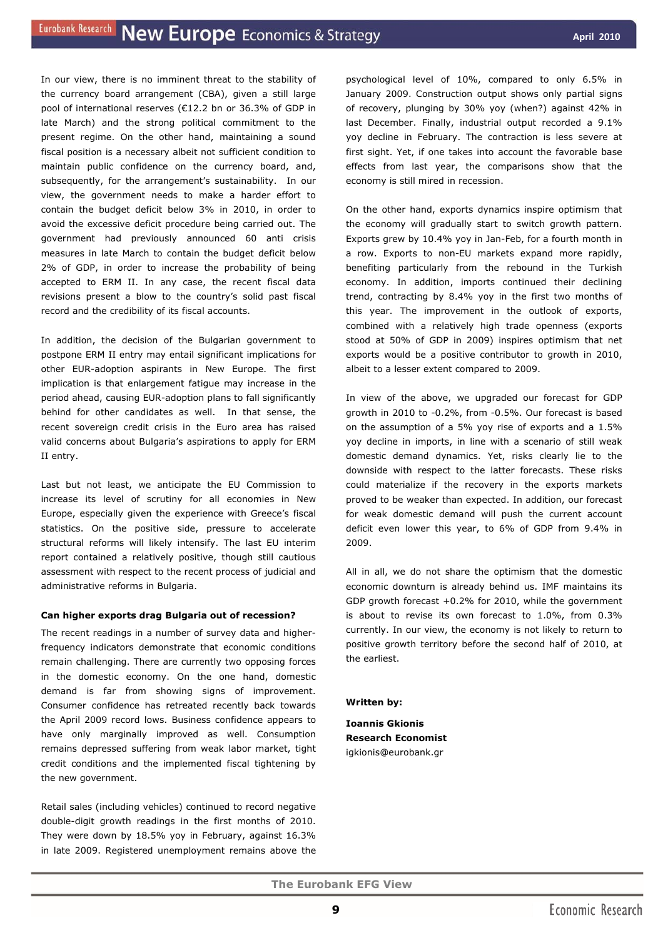In our view, there is no imminent threat to the stability of the currency board arrangement (CBA), given a still large pool of international reserves (€12.2 bn or 36.3% of GDP in late March) and the strong political commitment to the present regime. On the other hand, maintaining a sound fiscal position is a necessary albeit not sufficient condition to maintain public confidence on the currency board, and, subsequently, for the arrangement's sustainability. In our view, the government needs to make a harder effort to contain the budget deficit below 3% in 2010, in order to avoid the excessive deficit procedure being carried out. The government had previously announced 60 anti crisis measures in late March to contain the budget deficit below 2% of GDP, in order to increase the probability of being accepted to ERM II. In any case, the recent fiscal data revisions present a blow to the country's solid past fiscal record and the credibility of its fiscal accounts.

In addition, the decision of the Bulgarian government to postpone ERM II entry may entail significant implications for other EUR-adoption aspirants in New Europe. The first implication is that enlargement fatigue may increase in the period ahead, causing EUR-adoption plans to fall significantly behind for other candidates as well. In that sense, the recent sovereign credit crisis in the Euro area has raised valid concerns about Bulgaria's aspirations to apply for ERM II entry.

Last but not least, we anticipate the EU Commission to increase its level of scrutiny for all economies in New Europe, especially given the experience with Greece's fiscal statistics. On the positive side, pressure to accelerate structural reforms will likely intensify. The last EU interim report contained a relatively positive, though still cautious assessment with respect to the recent process of judicial and administrative reforms in Bulgaria.

#### **Can higher exports drag Bulgaria out of recession?**

The recent readings in a number of survey data and higherfrequency indicators demonstrate that economic conditions remain challenging. There are currently two opposing forces in the domestic economy. On the one hand, domestic demand is far from showing signs of improvement. Consumer confidence has retreated recently back towards the April 2009 record lows. Business confidence appears to have only marginally improved as well. Consumption remains depressed suffering from weak labor market, tight credit conditions and the implemented fiscal tightening by the new government.

Retail sales (including vehicles) continued to record negative double-digit growth readings in the first months of 2010. They were down by 18.5% yoy in February, against 16.3% in late 2009. Registered unemployment remains above the

psychological level of 10%, compared to only 6.5% in January 2009. Construction output shows only partial signs of recovery, plunging by 30% yoy (when?) against 42% in last December. Finally, industrial output recorded a 9.1% yoy decline in February. The contraction is less severe at first sight. Yet, if one takes into account the favorable base effects from last year, the comparisons show that the economy is still mired in recession.

On the other hand, exports dynamics inspire optimism that the economy will gradually start to switch growth pattern. Exports grew by 10.4% yoy in Jan-Feb, for a fourth month in a row. Exports to non-EU markets expand more rapidly, benefiting particularly from the rebound in the Turkish economy. In addition, imports continued their declining trend, contracting by 8.4% yoy in the first two months of this year. The improvement in the outlook of exports, combined with a relatively high trade openness (exports stood at 50% of GDP in 2009) inspires optimism that net exports would be a positive contributor to growth in 2010, albeit to a lesser extent compared to 2009.

In view of the above, we upgraded our forecast for GDP growth in 2010 to -0.2%, from -0.5%. Our forecast is based on the assumption of a 5% yoy rise of exports and a 1.5% yoy decline in imports, in line with a scenario of still weak domestic demand dynamics. Yet, risks clearly lie to the downside with respect to the latter forecasts. These risks could materialize if the recovery in the exports markets proved to be weaker than expected. In addition, our forecast for weak domestic demand will push the current account deficit even lower this year, to 6% of GDP from 9.4% in 2009.

All in all, we do not share the optimism that the domestic economic downturn is already behind us. IMF maintains its GDP growth forecast  $+0.2\%$  for 2010, while the government is about to revise its own forecast to 1.0%, from 0.3% currently. In our view, the economy is not likely to return to positive growth territory before the second half of 2010, at the earliest.

*Written by:* 

**Ioannis Gkionis Research Economist**  igkionis@eurobank.gr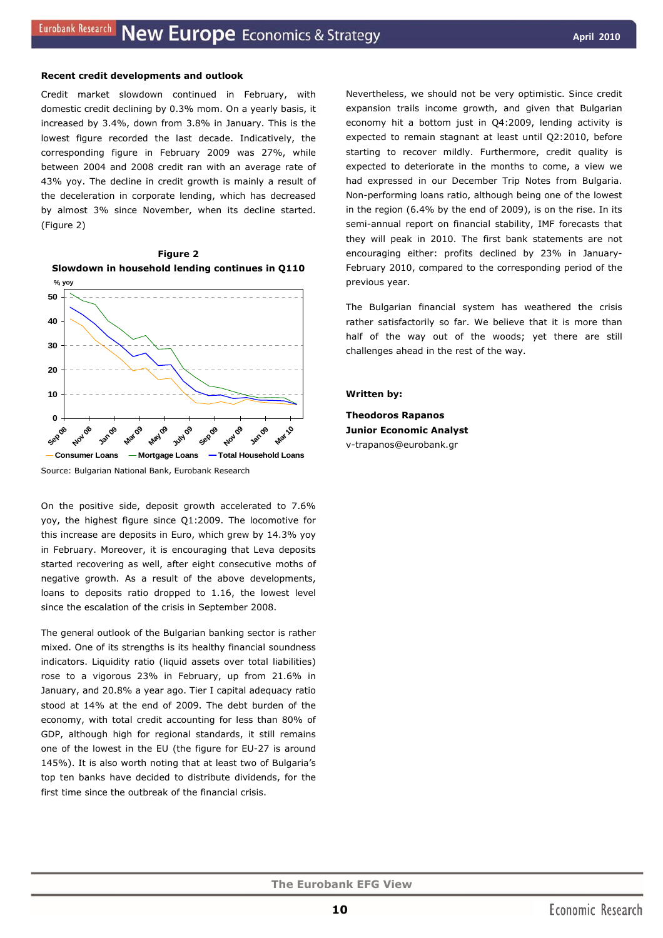#### **Recent credit developments and outlook**

Credit market slowdown continued in February, with domestic credit declining by 0.3% mom. On a yearly basis, it increased by 3.4%, down from 3.8% in January. This is the lowest figure recorded the last decade. Indicatively, the corresponding figure in February 2009 was 27%, while between 2004 and 2008 credit ran with an average rate of 43% yoy. The decline in credit growth is mainly a result of the deceleration in corporate lending, which has decreased by almost 3% since November, when its decline started. (Figure 2)



Source: Bulgarian National Bank, Eurobank Research

On the positive side, deposit growth accelerated to 7.6% yoy, the highest figure since Q1:2009. The locomotive for this increase are deposits in Euro, which grew by 14.3% yoy in February. Moreover, it is encouraging that Leva deposits started recovering as well, after eight consecutive moths of negative growth. As a result of the above developments, loans to deposits ratio dropped to 1.16, the lowest level since the escalation of the crisis in September 2008.

The general outlook of the Bulgarian banking sector is rather mixed. One of its strengths is its healthy financial soundness indicators. Liquidity ratio (liquid assets over total liabilities) rose to a vigorous 23% in February, up from 21.6% in January, and 20.8% a year ago. Tier I capital adequacy ratio stood at 14% at the end of 2009. Τhe debt burden of the economy, with total credit accounting for less than 80% of GDP, although high for regional standards, it still remains one of the lowest in the EU (the figure for EU-27 is around 145%). It is also worth noting that at least two of Bulgaria's top ten banks have decided to distribute dividends, for the first time since the outbreak of the financial crisis.

Nevertheless, we should not be very optimistic. Since credit expansion trails income growth, and given that Bulgarian economy hit a bottom just in Q4:2009, lending activity is expected to remain stagnant at least until Q2:2010, before starting to recover mildly. Furthermore, credit quality is expected to deteriorate in the months to come, a view we had expressed in our December *Trip Notes from Bulgaria*. Non-performing loans ratio, although being one of the lowest in the region (6.4% by the end of 2009), is on the rise. In its semi-annual report on financial stability, IMF forecasts that they will peak in 2010. The first bank statements are not encouraging either: profits declined by 23% in January-February 2010, compared to the corresponding period of the previous year.

The Bulgarian financial system has weathered the crisis rather satisfactorily so far. We believe that it is more than half of the way out of the woods; yet there are still challenges ahead in the rest of the way.

#### *Written by:*

**Theodoros Rapanos Junior Economic Analyst**  v-trapanos@eurobank.gr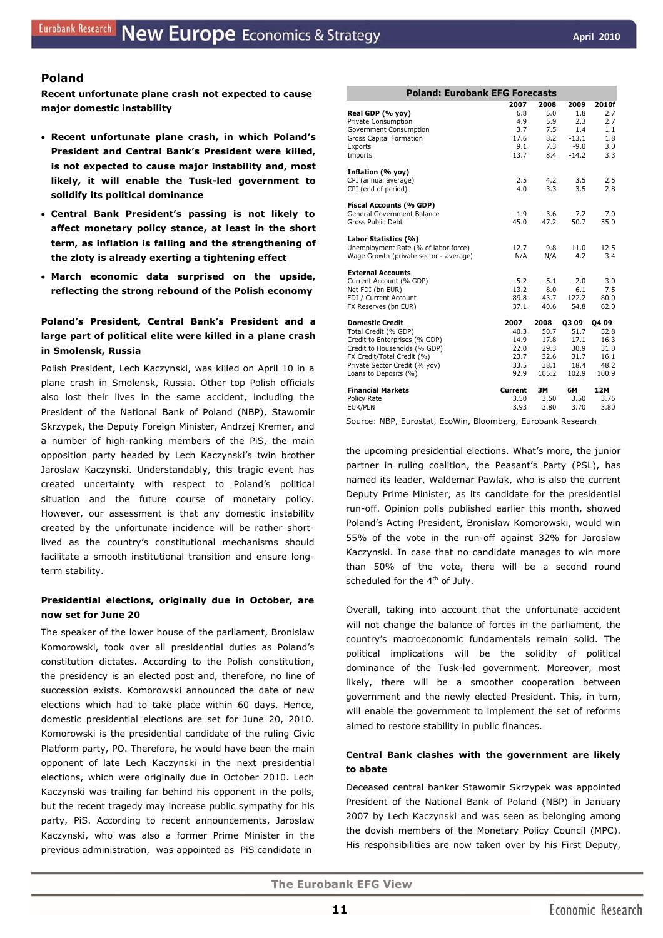## **Poland**

**Recent unfortunate plane crash not expected to cause major domestic instability** 

- **Recent unfortunate plane crash, in which Poland's President and Central Bank's President were killed, is not expected to cause major instability and, most likely, it will enable the Tusk-led government to solidify its political dominance**
- **Central Bank President's passing is not likely tο affect monetary policy stance, at least in the short term, as inflation is falling and the strengthening of the zloty is already exerting a tightening effect**
- **March economic data surprised on the upside, reflecting the strong rebound of the Polish economy**

## **Poland's President, Central Bank's President and a large part of political elite were killed in a plane crash in Smolensk, Russia**

Polish President, Lech Kaczynski, was killed on April 10 in a plane crash in Smolensk, Russia. Other top Polish officials also lost their lives in the same accident, including the President of the National Bank of Poland (NBP), Stawomir Skrzypek, the Deputy Foreign Minister, Andrzej Kremer, and a number of high-ranking members of the PiS, the main opposition party headed by Lech Kaczynski's twin brother Jaroslaw Kaczynski. Understandably, this tragic event has created uncertainty with respect to Poland's political situation and the future course of monetary policy. However, our assessment is that any domestic instability created by the unfortunate incidence will be rather shortlived as the country's constitutional mechanisms should facilitate a smooth institutional transition and ensure longterm stability.

## **Presidential elections, originally due in October, are now set for June 20**

The speaker of the lower house of the parliament, Bronislaw Komorowski, took over all presidential duties as Poland's constitution dictates. According to the Polish constitution, the presidency is an elected post and, therefore, no line of succession exists. Komorowski announced the date of new elections which had to take place within 60 days. Hence, domestic presidential elections are set for June 20, 2010. Komorowski is the presidential candidate of the ruling Civic Platform party, PO. Therefore, he would have been the main opponent of late Lech Kaczynski in the next presidential elections, which were originally due in October 2010. Lech Kaczynski was trailing far behind his opponent in the polls, but the recent tragedy may increase public sympathy for his party, PiS. According to recent announcements, Jaroslaw Kaczynski, who was also a former Prime Minister in the previous administration, was appointed as PiS candidate in

| <b>Poland: Eurobank EFG Forecasts</b>         |            |            |            |            |  |  |  |
|-----------------------------------------------|------------|------------|------------|------------|--|--|--|
|                                               | 2007       | 2008       | 2009       | 2010f      |  |  |  |
| Real GDP (% yoy)                              | 6.8<br>4.9 | 5.0<br>5.9 | 1.8<br>2.3 | 2.7<br>2.7 |  |  |  |
| Private Consumption<br>Government Consumption | 3.7        | 7.5        | 1.4        | 1.1        |  |  |  |
| <b>Gross Capital Formation</b>                | 17.6       | 8.2        | $-13.1$    | 1.8        |  |  |  |
| Exports                                       | 9.1        | 7.3        | $-9.0$     | 3.0        |  |  |  |
| Imports                                       | 13.7       | 8.4        | $-14.2$    | 3.3        |  |  |  |
| Inflation (% yoy)                             |            |            |            |            |  |  |  |
| CPI (annual average)                          | 2.5        | 4.2        | 3.5        | 2.5        |  |  |  |
| CPI (end of period)                           | 4.0        | 3.3        | 3.5        | 2.8        |  |  |  |
| Fiscal Accounts (% GDP)                       |            |            |            |            |  |  |  |
| <b>General Government Balance</b>             | $-1.9$     | $-3.6$     | $-7.2$     | $-7.0$     |  |  |  |
| Gross Public Debt                             | 45.0       | 47.2       | 50.7       | 55.0       |  |  |  |
| Labor Statistics (%)                          |            |            |            |            |  |  |  |
| Unemployment Rate (% of labor force)          | 12.7       | 9.8        | 11.0       | 12.5       |  |  |  |
| Wage Growth (private sector - average)        | N/A        | N/A        | 4.2        | 3.4        |  |  |  |
| <b>External Accounts</b>                      |            |            |            |            |  |  |  |
| Current Account (% GDP)                       | $-5.2$     | $-5.1$     | $-2.0$     | $-3.0$     |  |  |  |
| Net FDI (bn EUR)                              | 13.2       | 8.0        | 6.1        | 7.5        |  |  |  |
| FDI / Current Account                         | 89.8       | 43.7       | 122.2      | 80.0       |  |  |  |
| FX Reserves (bn EUR)                          | 37.1       | 40.6       | 54.8       | 62.0       |  |  |  |
| <b>Domestic Credit</b>                        | 2007       | 2008       | 0309       | Q4 09      |  |  |  |
| Total Credit (% GDP)                          | 40.3       | 50.7       | 51.7       | 52.8       |  |  |  |
| Credit to Enterprises (% GDP)                 | 14.9       | 17.8       | 17.1       | 16.3       |  |  |  |
| Credit to Households (% GDP)                  | 22.0       | 29.3       | 30.9       | 31.0       |  |  |  |
| FX Credit/Total Credit (%)                    | 23.7       | 32.6       | 31.7       | 16.1       |  |  |  |
| Private Sector Credit (% yoy)                 | 33.5       | 38.1       | 18.4       | 48.2       |  |  |  |
| Loans to Deposits (%)                         | 92.9       | 105.2      | 102.9      | 100.9      |  |  |  |
| <b>Financial Markets</b>                      | Current    | 3M         | 6M         | 12M        |  |  |  |
| Policy Rate                                   | 3.50       | 3.50       | 3.50       | 3.75       |  |  |  |
| EUR/PLN                                       | 3.93       | 3.80       | 3.70       | 3.80       |  |  |  |

Source: NBP, Eurostat, EcoWin, Bloomberg, Eurobank Research

the upcoming presidential elections. What's more, the junior partner in ruling coalition, the Peasant's Party (PSL), has named its leader, Waldemar Pawlak, who is also the current Deputy Prime Minister, as its candidate for the presidential run-off. Opinion polls published earlier this month, showed Poland's Acting President, Bronislaw Komorowski, would win 55% of the vote in the run-off against 32% for Jaroslaw Kaczynski. In case that no candidate manages to win more than 50% of the vote, there will be a second round scheduled for the 4<sup>th</sup> of July.

Overall, taking into account that the unfortunate accident will not change the balance of forces in the parliament, the country's macroeconomic fundamentals remain solid. The political implications will be the solidity of political dominance of the Tusk-led government. Moreover, most likely, there will be a smoother cooperation between government and the newly elected President. This, in turn, will enable the government to implement the set of reforms aimed to restore stability in public finances.

## **Central Bank clashes with the government are likely to abate**

Deceased central banker Stawomir Skrzypek was appointed President of the National Bank of Poland (NBP) in January 2007 by Lech Kaczynski and was seen as belonging among the dovish members of the Monetary Policy Council (MPC). His responsibilities are now taken over by his First Deputy,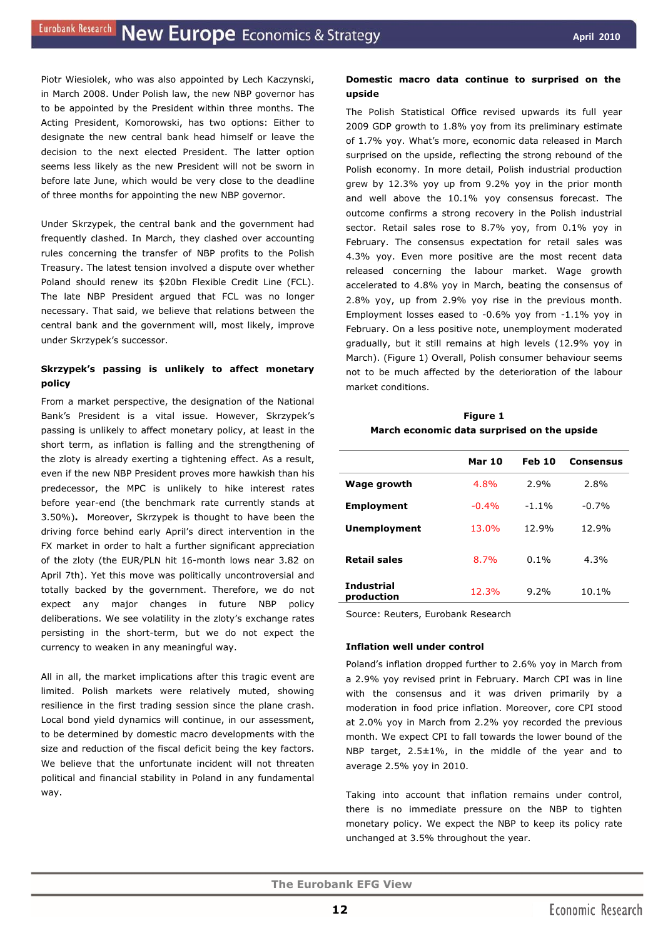Piotr Wiesiolek, who was also appointed by Lech Kaczynski, in March 2008. Under Polish law, the new NBP governor has to be appointed by the President within three months. The Acting President, Komorowski, has two options: Either to designate the new central bank head himself or leave the decision to the next elected President. The latter option seems less likely as the new President will not be sworn in before late June, which would be very close to the deadline of three months for appointing the new NBP governor.

Under Skrzypek, the central bank and the government had frequently clashed. In March, they clashed over accounting rules concerning the transfer of NBP profits to the Polish Treasury. The latest tension involved a dispute over whether Poland should renew its \$20bn Flexible Credit Line (FCL). The late NBP President argued that FCL was no longer necessary. That said, we believe that relations between the central bank and the government will, most likely, improve under Skrzypek's successor.

## **Skrzypek's passing is unlikely to affect monetary policy**

From a market perspective, the designation of the National Bank's President is a vital issue. However, Skrzypek's passing is unlikely to affect monetary policy, at least in the short term, as inflation is falling and the strengthening of the zloty is already exerting a tightening effect. As a result, even if the new NBP President proves more hawkish than his predecessor, the MPC is unlikely to hike interest rates before year-end (the benchmark rate currently stands at 3.50%)**.** Moreover, Skrzypek is thought to have been the driving force behind early April's direct intervention in the FX market in order to halt a further significant appreciation of the zloty (the EUR/PLN hit 16-month lows near 3.82 on April 7th). Yet this move was politically uncontroversial and totally backed by the government. Therefore, we do not expect any major changes in future NBP policy deliberations. We see volatility in the zloty's exchange rates persisting in the short-term, but we do not expect the currency to weaken in any meaningful way.

All in all, the market implications after this tragic event are limited. Polish markets were relatively muted, showing resilience in the first trading session since the plane crash. Local bond yield dynamics will continue, in our assessment, to be determined by domestic macro developments with the size and reduction of the fiscal deficit being the key factors. We believe that the unfortunate incident will not threaten political and financial stability in Poland in any fundamental way.

## **Domestic macro data continue to surprised on the upside**

The Polish Statistical Office revised upwards its full year 2009 GDP growth to 1.8% yoy from its preliminary estimate of 1.7% yoy. What's more, economic data released in March surprised on the upside, reflecting the strong rebound of the Polish economy. In more detail, Polish industrial production grew by 12.3% yoy up from 9.2% yoy in the prior month and well above the 10.1% yoy consensus forecast. The outcome confirms a strong recovery in the Polish industrial sector. Retail sales rose to 8.7% yoy, from 0.1% yoy in February. The consensus expectation for retail sales was 4.3% yoy. Even more positive are the most recent data released concerning the labour market. Wage growth accelerated to 4.8% yoy in March, beating the consensus of 2.8% yoy, up from 2.9% yoy rise in the previous month. Employment losses eased to -0.6% yoy from -1.1% yoy in February. On a less positive note, unemployment moderated gradually, but it still remains at high levels (12.9% yoy in March). (Figure 1) Overall, Polish consumer behaviour seems not to be much affected by the deterioration of the labour market conditions.

**Figure 1 March economic data surprised on the upside** 

|                                 | <b>Mar 10</b> | Feb 10  | <b>Consensus</b> |
|---------------------------------|---------------|---------|------------------|
| Wage growth                     | 4.8%          | 2.9%    | 2.8%             |
| <b>Employment</b>               | $-0.4%$       | $-1.1%$ | $-0.7%$          |
| <b>Unemployment</b>             | 13.0%         | 12.9%   | 12.9%            |
| Retail sales                    | 8.7%          | $0.1\%$ | 4.3%             |
| <b>Industrial</b><br>production | 12.3%         | 9.2%    | 10.1%            |

Source: Reuters, Eurobank Research

#### **Inflation well under control**

Poland's inflation dropped further to 2.6% yoy in March from a 2.9% yoy revised print in February. March CPI was in line with the consensus and it was driven primarily by a moderation in food price inflation. Moreover, core CPI stood at 2.0% yoy in March from 2.2% yoy recorded the previous month. We expect CPI to fall towards the lower bound of the NBP target, 2.5±1%, in the middle of the year and to average 2.5% yoy in 2010.

Taking into account that inflation remains under control, there is no immediate pressure on the NBP to tighten monetary policy. We expect the NBP to keep its policy rate unchanged at 3.5% throughout the year.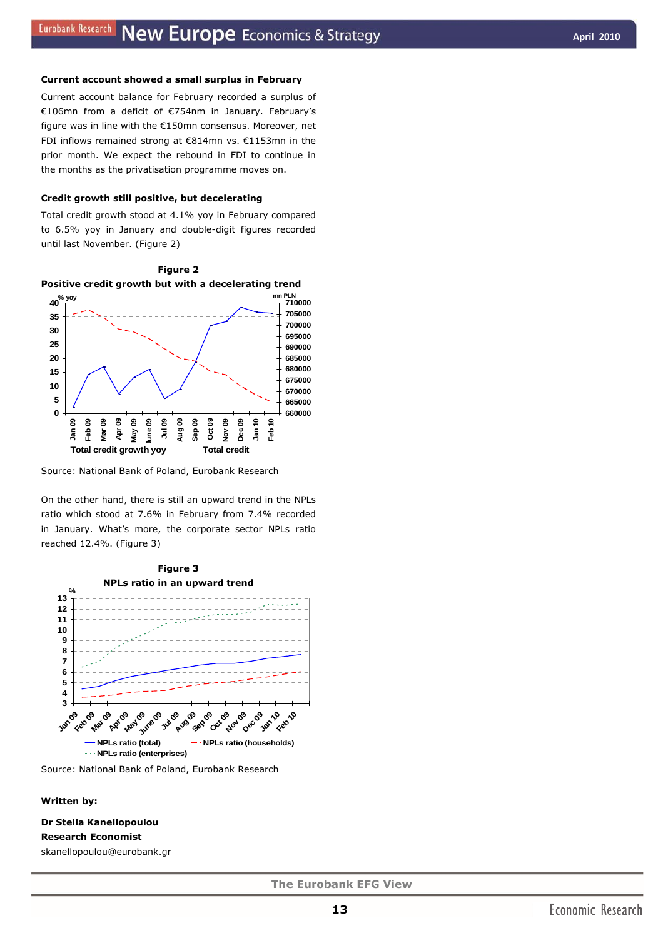#### **Current account showed a small surplus in February**

Current account balance for February recorded a surplus of €106mn from a deficit of €754nm in January. February's figure was in line with the €150mn consensus. Moreover, net FDI inflows remained strong at €814mn vs. €1153mn in the prior month. We expect the rebound in FDI to continue in the months as the privatisation programme moves on.

#### **Credit growth still positive, but decelerating**

Total credit growth stood at 4.1% yoy in February compared to 6.5% yoy in January and double-digit figures recorded until last November. (Figure 2)





Source: National Bank of Poland, Eurobank Research

On the other hand, there is still an upward trend in the NPLs ratio which stood at 7.6% in February from 7.4% recorded in January. What's more, the corporate sector NPLs ratio reached 12.4%. (Figure 3)



Source: National Bank of Poland, Eurobank Research

*Written by:* 

**Dr Stella Kanellopoulou Research Economist**  skanellopoulou@eurobank.gr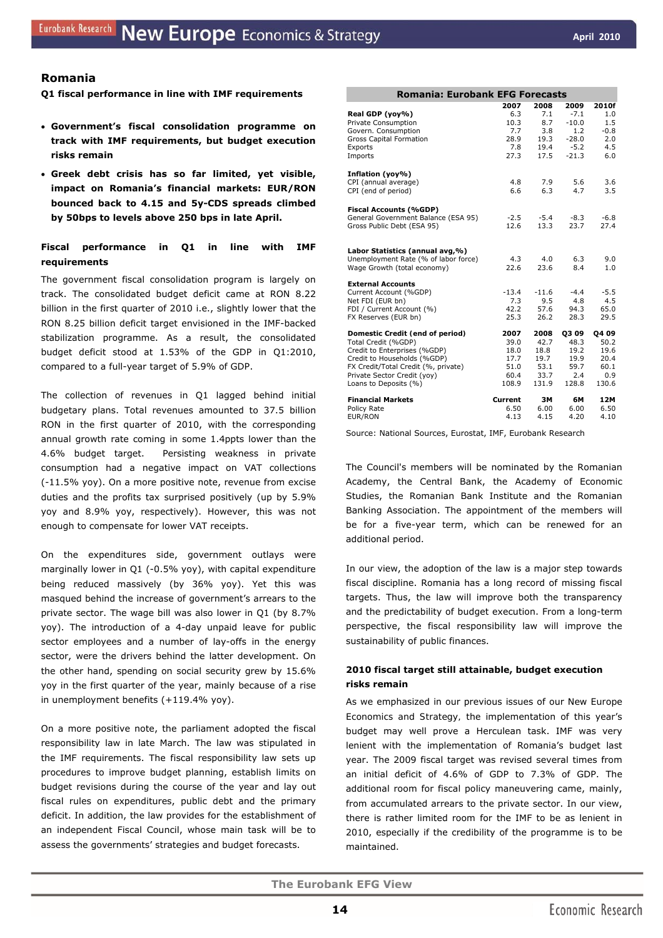## **Romania**

#### **Q1 fiscal performance in line with IMF requirements**

- **Government's fiscal consolidation programme on track with IMF requirements, but budget execution risks remain**
- **Greek debt crisis has so far limited, yet visible, impact on Romania's financial markets: EUR/RON bounced back to 4.15 and 5y-CDS spreads climbed by 50bps to levels above 250 bps in late April.**

## **Fiscal performance in Q1 in line with IMF requirements**

The government fiscal consolidation program is largely on track. The consolidated budget deficit came at RON 8.22 billion in the first quarter of 2010 i.e., slightly lower that the RON 8.25 billion deficit target envisioned in the IMF-backed stabilization programme. As a result, the consolidated budget deficit stood at 1.53% of the GDP in Q1:2010, compared to a full-year target of 5.9% of GDP.

The collection of revenues in Q1 lagged behind initial budgetary plans. Total revenues amounted to 37.5 billion RON in the first quarter of 2010, with the corresponding annual growth rate coming in some 1.4ppts lower than the 4.6% budget target. Persisting weakness in private consumption had a negative impact on VAT collections (-11.5% yoy). On a more positive note, revenue from excise duties and the profits tax surprised positively (up by 5.9% yoy and 8.9% yoy, respectively). However, this was not enough to compensate for lower VAT receipts.

On the expenditures side, government outlays were marginally lower in Q1 (-0.5% yoy), with capital expenditure being reduced massively (by 36% yoy). Yet this was masqued behind the increase of government's arrears to the private sector. The wage bill was also lower in Q1 (by 8.7% yoy). The introduction of a 4-day unpaid leave for public sector employees and a number of lay-offs in the energy sector, were the drivers behind the latter development. On the other hand, spending on social security grew by 15.6% yoy in the first quarter of the year, mainly because of a rise in unemployment benefits (+119.4% yoy).

On a more positive note, the parliament adopted the fiscal responsibility law in late March. The law was stipulated in the IMF requirements. The fiscal responsibility law sets up procedures to improve budget planning, establish limits on budget revisions during the course of the year and lay out fiscal rules on expenditures, public debt and the primary deficit. In addition, the law provides for the establishment of an independent Fiscal Council, whose main task will be to assess the governments' strategies and budget forecasts.

|                                      | <b>Romania: Eurobank EFG Forecasts</b> |         |             |              |  |  |  |  |  |
|--------------------------------------|----------------------------------------|---------|-------------|--------------|--|--|--|--|--|
|                                      | 2007                                   | 2008    | 2009        | <b>2010f</b> |  |  |  |  |  |
| Real GDP (yoy%)                      | 6.3                                    | 7.1     | $-7.1$      | 1.0          |  |  |  |  |  |
| Private Consumption                  | 10.3                                   | 8.7     | $-10.0$     | 1.5          |  |  |  |  |  |
| Govern. Consumption                  | 7.7                                    | 3.8     | 1.2         | $-0.8$       |  |  |  |  |  |
| Gross Capital Formation              | 28.9                                   | 19.3    | $-28.0$     | 2.0          |  |  |  |  |  |
| Exports                              | 7.8                                    | 19.4    | $-5.2$      | 4.5          |  |  |  |  |  |
| Imports                              | 27.3                                   | 17.5    | $-21.3$     | 6.0          |  |  |  |  |  |
| Inflation (yoy%)                     |                                        |         |             |              |  |  |  |  |  |
| CPI (annual average)                 | 4.8                                    | 7.9     | 5.6         | 3.6          |  |  |  |  |  |
| CPI (end of period)                  | 6.6                                    | 6.3     | 4.7         | 3.5          |  |  |  |  |  |
| <b>Fiscal Accounts (%GDP)</b>        |                                        |         |             |              |  |  |  |  |  |
| General Government Balance (ESA 95)  | $-2.5$                                 | $-5.4$  | $-8.3$      | $-6.8$       |  |  |  |  |  |
| Gross Public Debt (ESA 95)           | 12.6                                   | 13.3    | 23.7        | 27.4         |  |  |  |  |  |
|                                      |                                        |         |             |              |  |  |  |  |  |
| Labor Statistics (annual avg,%)      |                                        |         |             |              |  |  |  |  |  |
| Unemployment Rate (% of labor force) | 4.3                                    | 4.0     | 6.3         | 9.0          |  |  |  |  |  |
| Wage Growth (total economy)          | 22.6                                   | 23.6    | 8.4         | 1.0          |  |  |  |  |  |
| <b>External Accounts</b>             |                                        |         |             |              |  |  |  |  |  |
| Current Account (%GDP)               | $-13.4$                                | $-11.6$ | $-4.4$      | $-5.5$       |  |  |  |  |  |
| Net FDI (EUR bn)                     | 7.3                                    | 9.5     | 4.8         | 4.5          |  |  |  |  |  |
| FDI / Current Account (%)            | 42.2                                   | 57.6    | 94.3        | 65.0         |  |  |  |  |  |
| FX Reserves (EUR bn)                 | 25.3                                   | 26.2    | 28.3        | 29.5         |  |  |  |  |  |
| Domestic Credit (end of period)      | 2007                                   | 2008    | <b>Q309</b> | <b>Q409</b>  |  |  |  |  |  |
| Total Credit (%GDP)                  | 39.0                                   | 42.7    | 48.3        | 50.2         |  |  |  |  |  |
| Credit to Enterprises (%GDP)         | 18.0                                   | 18.8    | 19.2        | 19.6         |  |  |  |  |  |
| Credit to Households (%GDP)          | 17.7                                   | 19.7    | 19.9        | 20.4         |  |  |  |  |  |
| FX Credit/Total Credit (%, private)  | 51.0                                   | 53.1    | 59.7        | 60.1         |  |  |  |  |  |
| Private Sector Credit (yoy)          | 60.4                                   | 33.7    | 2.4         | 0.9          |  |  |  |  |  |
| Loans to Deposits (%)                | 108.9                                  | 131.9   | 128.8       | 130.6        |  |  |  |  |  |
| <b>Financial Markets</b>             | Current                                | 3M      | 6M          | 12M          |  |  |  |  |  |
| Policy Rate                          | 6.50                                   | 6.00    | 6.00        | 6.50         |  |  |  |  |  |
| EUR/RON                              | 4.13                                   | 4.15    | 4.20        | 4.10         |  |  |  |  |  |

Source: National Sources, Eurostat, IMF, Eurobank Research

The Council's members will be nominated by the Romanian Academy, the Central Bank, the Academy of Economic Studies, the Romanian Bank Institute and the Romanian Banking Association. The appointment of the members will be for a five-year term, which can be renewed for an additional period.

In our view, the adoption of the law is a major step towards fiscal discipline. Romania has a long record of missing fiscal targets. Thus, the law will improve both the transparency and the predictability of budget execution. From a long-term perspective, the fiscal responsibility law will improve the sustainability of public finances.

## **2010 fiscal target still attainable, budget execution risks remain**

As we emphasized in our previous issues of our *New Europe Economics and Strategy,* the implementation of this year's budget may well prove a Herculean task. IMF was very lenient with the implementation of Romania's budget last year. The 2009 fiscal target was revised several times from an initial deficit of 4.6% of GDP to 7.3% of GDP. The additional room for fiscal policy maneuvering came, mainly, from accumulated arrears to the private sector. In our view, there is rather limited room for the IMF to be as lenient in 2010, especially if the credibility of the programme is to be maintained.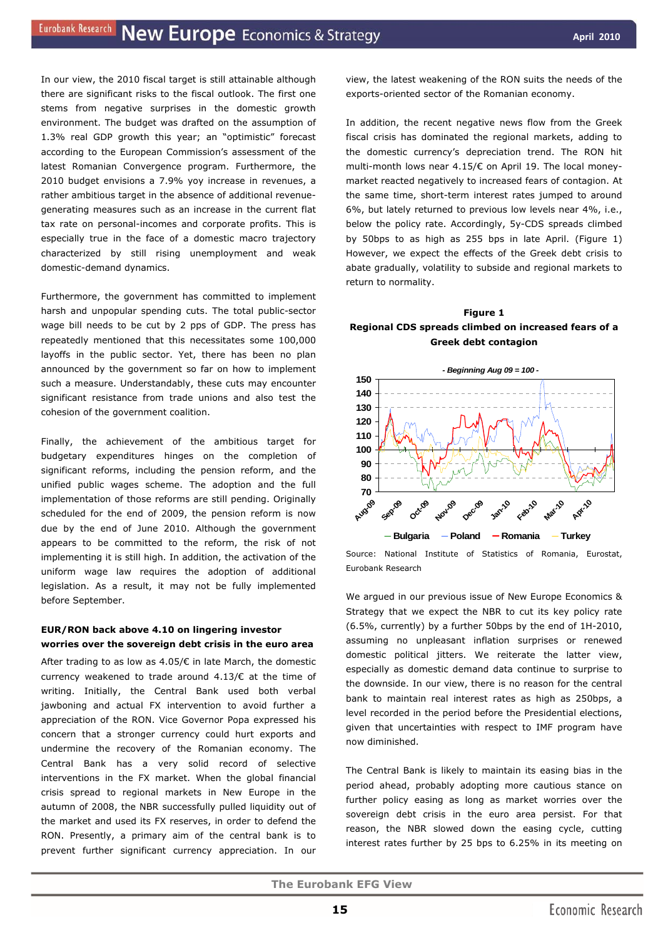In our view, the 2010 fiscal target is still attainable although there are significant risks to the fiscal outlook. The first one stems from negative surprises in the domestic growth environment. The budget was drafted on the assumption of 1.3% real GDP growth this year; an "optimistic" forecast according to the European Commission's assessment of the latest Romanian Convergence program. Furthermore, the 2010 budget envisions a 7.9% yoy increase in revenues, a rather ambitious target in the absence of additional revenuegenerating measures such as an increase in the current flat tax rate on personal-incomes and corporate profits. This is especially true in the face of a domestic macro trajectory characterized by still rising unemployment and weak domestic-demand dynamics.

Furthermore, the government has committed to implement harsh and unpopular spending cuts. The total public-sector wage bill needs to be cut by 2 pps of GDP. The press has repeatedly mentioned that this necessitates some 100,000 layoffs in the public sector. Yet, there has been no plan announced by the government so far on how to implement such a measure. Understandably, these cuts may encounter significant resistance from trade unions and also test the cohesion of the government coalition.

Finally, the achievement of the ambitious target for budgetary expenditures hinges on the completion of significant reforms, including the pension reform, and the unified public wages scheme. The adoption and the full implementation of those reforms are still pending. Originally scheduled for the end of 2009, the pension reform is now due by the end of June 2010. Although the government appears to be committed to the reform, the risk of not implementing it is still high. In addition, the activation of the uniform wage law requires the adoption of additional legislation. As a result, it may not be fully implemented before September.

## **EUR/RON back above 4.10 on lingering investor worries over the sovereign debt crisis in the euro area**

After trading to as low as 4.05/€ in late March, the domestic currency weakened to trade around 4.13/€ at the time of writing. Initially, the Central Bank used both verbal jawboning and actual FX intervention to avoid further a appreciation of the RON. Vice Governor Popa expressed his concern that a stronger currency could hurt exports and undermine the recovery of the Romanian economy. The Central Bank has a very solid record of selective interventions in the FX market. When the global financial crisis spread to regional markets in New Europe in the autumn of 2008, the NBR successfully pulled liquidity out of the market and used its FX reserves, in order to defend the RON. Presently, a primary aim of the central bank is to prevent further significant currency appreciation. In our view, the latest weakening of the RON suits the needs of the exports-oriented sector of the Romanian economy.

In addition, the recent negative news flow from the Greek fiscal crisis has dominated the regional markets, adding to the domestic currency's depreciation trend. The RON hit multi-month lows near 4.15/€ on April 19. The local moneymarket reacted negatively to increased fears of contagion. At the same time, short-term interest rates jumped to around 6%, but lately returned to previous low levels near 4%, i.e., below the policy rate. Accordingly, 5y-CDS spreads climbed by 50bps to as high as 255 bps in late April. (Figure 1) However, we expect the effects of the Greek debt crisis to abate gradually, volatility to subside and regional markets to return to normality.





Source: National Institute of Statistics of Romania, Eurostat, Eurobank Research

We argued in our previous issue of New Europe Economics & Strategy that we expect the NBR to cut its key policy rate (6.5%, currently) by a further 50bps by the end of 1H-2010, assuming no unpleasant inflation surprises or renewed domestic political jitters. We reiterate the latter view, especially as domestic demand data continue to surprise to the downside. In our view, there is no reason for the central bank to maintain real interest rates as high as 250bps, a level recorded in the period before the Presidential elections, given that uncertainties with respect to IMF program have now diminished.

The Central Bank is likely to maintain its easing bias in the period ahead, probably adopting more cautious stance on further policy easing as long as market worries over the sovereign debt crisis in the euro area persist. For that reason, the NBR slowed down the easing cycle, cutting interest rates further by 25 bps to 6.25% in its meeting on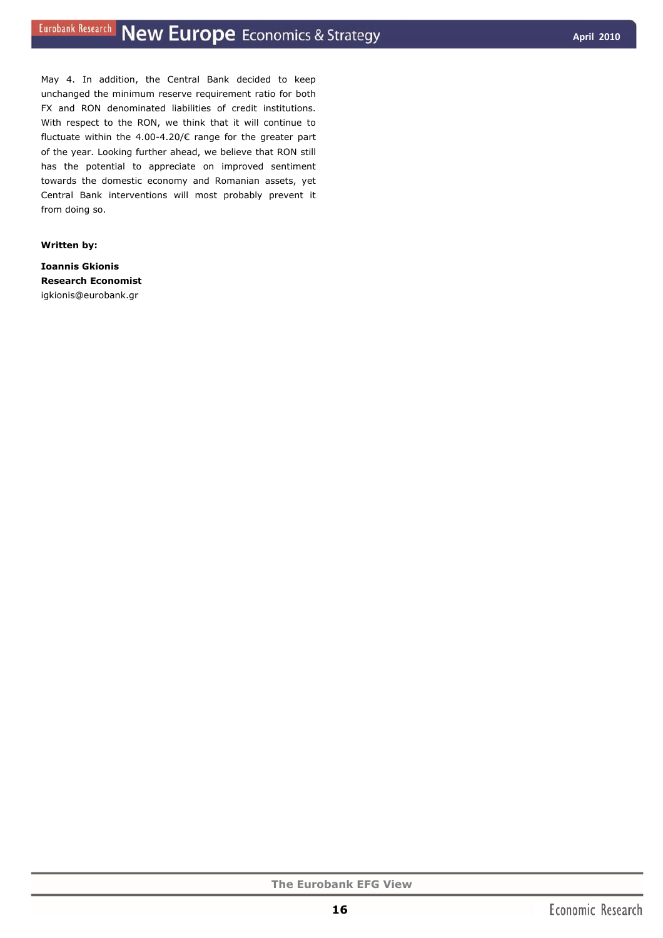May 4. In addition, the Central Bank decided to keep unchanged the minimum reserve requirement ratio for both FX and RON denominated liabilities of credit institutions. With respect to the RON, we think that it will continue to fluctuate within the 4.00-4.20/ $\epsilon$  range for the greater part of the year. Looking further ahead, we believe that RON still has the potential to appreciate on improved sentiment towards the domestic economy and Romanian assets, yet Central Bank interventions will most probably prevent it from doing so.

#### *Written by:*

**Ioannis Gkionis Research Economist**  igkionis@eurobank.gr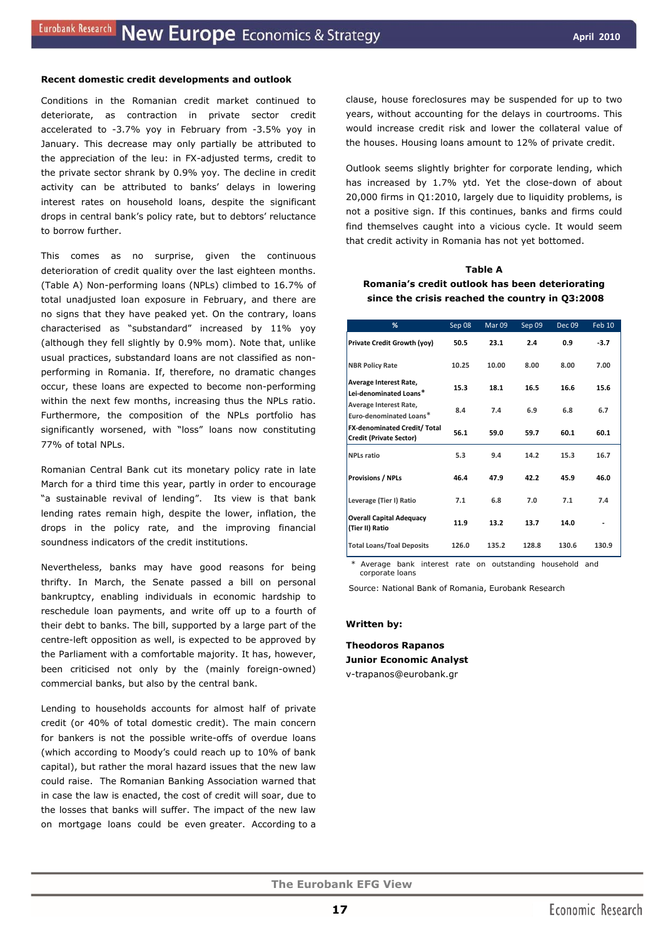#### **Recent domestic credit developments and outlook**

Conditions in the Romanian credit market continued to deteriorate, as contraction in private sector credit accelerated to -3.7% yoy in February from -3.5% yoy in January. This decrease may only partially be attributed to the appreciation of the leu: in FX-adjusted terms, credit to the private sector shrank by 0.9% yoy. The decline in credit activity can be attributed to banks' delays in lowering interest rates on household loans, despite the significant drops in central bank's policy rate, but to debtors' reluctance to borrow further.

This comes as no surprise, given the continuous deterioration of credit quality over the last eighteen months. (Table A) Non-performing loans (NPLs) climbed to 16.7% of total unadjusted loan exposure in February, and there are no signs that they have peaked yet. On the contrary, loans characterised as "substandard" increased by 11% yoy (although they fell slightly by 0.9% mom). Note that, unlike usual practices, substandard loans are not classified as nonperforming in Romania. If, therefore, no dramatic changes occur, these loans are expected to become non-performing within the next few months, increasing thus the NPLs ratio. Furthermore, the composition of the NPLs portfolio has significantly worsened, with "loss" loans now constituting 77% of total NPLs.

Romanian Central Bank cut its monetary policy rate in late March for a third time this year, partly in order to encourage "a sustainable revival of lending". Its view is that bank lending rates remain high, despite the lower, inflation, the drops in the policy rate, and the improving financial soundness indicators of the credit institutions.

Nevertheless, banks may have good reasons for being thrifty. In March, the Senate passed a bill on personal bankruptcy, enabling individuals in economic hardship to reschedule loan payments, and write off up to a fourth of their debt to banks. The bill, supported by a large part of the centre-left opposition as well, is expected to be approved by the Parliament with a comfortable majority. It has, however, been criticised not only by the (mainly foreign-owned) commercial banks, but also by the central bank.

Lending to households accounts for almost half of private credit (or 40% of total domestic credit). The main concern for bankers is not the possible write-offs of overdue loans (which according to Moody's could reach up to 10% of bank capital), but rather the moral hazard issues that the new law could raise. The Romanian Banking Association warned that in case the law is enacted, the cost of credit will soar, due to the losses that banks will suffer. The impact of the new law on mortgage loans could be even greater. According to a

clause, house foreclosures may be suspended for up to two years, without accounting for the delays in courtrooms. This would increase credit risk and lower the collateral value of the houses. Housing loans amount to 12% of private credit.

Outlook seems slightly brighter for corporate lending, which has increased by 1.7% ytd. Yet the close-down of about 20,000 firms in Q1:2010, largely due to liquidity problems, is not a positive sign. If this continues, banks and firms could find themselves caught into a vicious cycle. It would seem that credit activity in Romania has not yet bottomed.

## **Table A Romania's credit outlook has been deteriorating since the crisis reached the country in Q3:2008**

| %                                                              | Sep 08 | Mar 09 | Sep 09 | <b>Dec 09</b> | Feb 10 |
|----------------------------------------------------------------|--------|--------|--------|---------------|--------|
| Private Credit Growth (yoy)                                    | 50.5   | 23.1   | 2.4    | 0.9           | $-3.7$ |
| <b>NBR Policy Rate</b>                                         | 10.25  | 10.00  | 8.00   | 8.00          | 7.00   |
| Average Interest Rate,<br>Lei-denominated Loans*               | 15.3   | 18.1   | 16.5   | 16.6          | 15.6   |
| Average Interest Rate,<br>Euro-denominated Loans*              | 8.4    | 7.4    | 6.9    | 6.8           | 6.7    |
| FX-denominated Credit/ Total<br><b>Credit (Private Sector)</b> | 56.1   | 59.0   | 59.7   | 60.1          | 60.1   |
| <b>NPLs ratio</b>                                              | 5.3    | 9.4    | 14.2   | 15.3          | 16.7   |
| <b>Provisions / NPLs</b>                                       | 46.4   | 47.9   | 42.2   | 45.9          | 46.0   |
| Leverage (Tier I) Ratio                                        | 7.1    | 6.8    | 7.0    | 7.1           | 7.4    |
| <b>Overall Capital Adequacy</b><br>(Tier II) Ratio             | 11.9   | 13.2   | 13.7   | 14.0          |        |
| <b>Total Loans/Toal Deposits</b>                               | 126.0  | 135.2  | 128.8  | 130.6         | 130.9  |

Average bank interest rate on outstanding household and *xxh;gcorporate loans* 

Source: National Bank of Romania, Eurobank Research

#### *Written by:*

**Theodoros Rapanos Junior Economic Analyst**  v-trapanos@eurobank.gr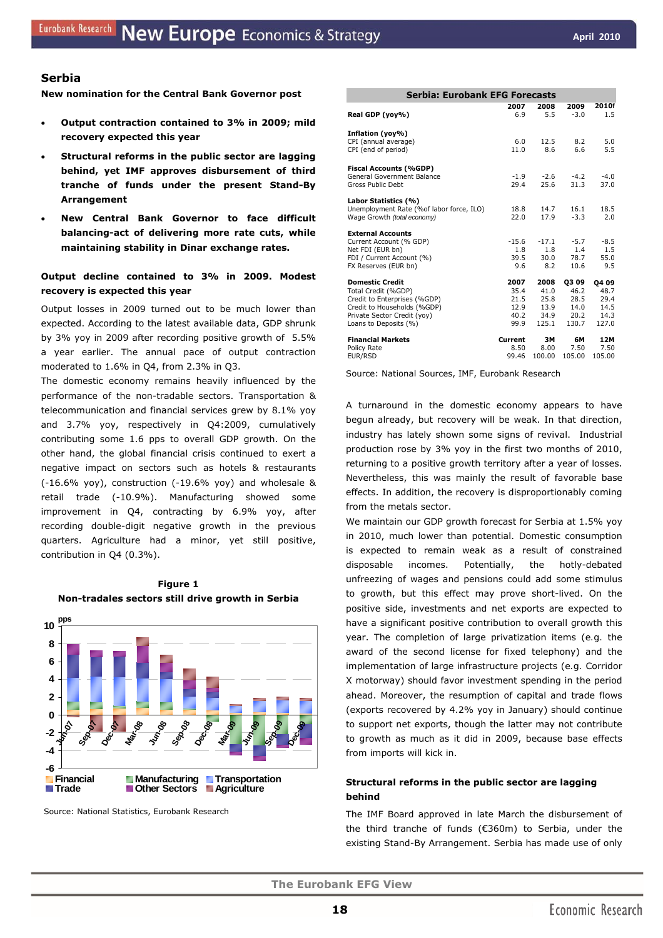#### **Serbia**

**New nomination for the Central Bank Governor post** 

- **Output contraction contained to 3% in 2009; mild recovery expected this year**
- **Structural reforms in the public sector are lagging behind, yet IMF approves disbursement of third tranche of funds under the present Stand-By Arrangement**
- **New Central Bank Governor to face difficult balancing-act of delivering more rate cuts, while maintaining stability in Dinar exchange rates.**

## **Output decline contained to 3% in 2009. Modest recovery is expected this year**

Output losses in 2009 turned out to be much lower than expected. According to the latest available data, GDP shrunk by 3% yoy in 2009 after recording positive growth of 5.5% a year earlier. The annual pace of output contraction moderated to 1.6% in Q4, from 2.3% in Q3.

The domestic economy remains heavily influenced by the performance of the non-tradable sectors. Transportation & telecommunication and financial services grew by 8.1% yoy and 3.7% yoy, respectively in Q4:2009, cumulatively contributing some 1.6 pps to overall GDP growth. On the other hand, the global financial crisis continued to exert a negative impact on sectors such as hotels & restaurants (-16.6% yoy), construction (-19.6% yoy) and wholesale & retail trade (-10.9%). Manufacturing showed some improvement in Q4, contracting by 6.9% yoy, after recording double-digit negative growth in the previous quarters. Agriculture had a minor, yet still positive, contribution in Q4 (0.3%).





Source: National Statistics, Eurobank Research

| Serbia: Eurobank EFG Forecasts            |         |         |        |        |  |  |  |
|-------------------------------------------|---------|---------|--------|--------|--|--|--|
|                                           | 2007    | 2008    | 2009   | 2010f  |  |  |  |
| Real GDP (yoy%)                           | 6.9     | 5.5     | $-3.0$ | 1.5    |  |  |  |
| Inflation (yoy%)                          |         |         |        |        |  |  |  |
| CPI (annual average)                      | 6.0     | 12.5    | 8.2    | 5.0    |  |  |  |
| CPI (end of period)                       | 11.0    | 8.6     | 6.6    | 5.5    |  |  |  |
| <b>Fiscal Accounts (%GDP)</b>             |         |         |        |        |  |  |  |
| General Government Balance                | $-1.9$  | $-2.6$  | $-4.2$ | $-4.0$ |  |  |  |
| Gross Public Debt                         | 29.4    | 25.6    | 31.3   | 37.0   |  |  |  |
| Labor Statistics (%)                      |         |         |        |        |  |  |  |
| Unemployment Rate (% of labor force, ILO) | 18.8    | 14.7    | 16.1   | 18.5   |  |  |  |
| Wage Growth (total economy)               | 22.0    | 17.9    | $-3.3$ | 2.0    |  |  |  |
| <b>External Accounts</b>                  |         |         |        |        |  |  |  |
| Current Account (% GDP)                   | $-15.6$ | $-17.1$ | $-5.7$ | $-8.5$ |  |  |  |
| Net FDI (EUR bn)                          | 1.8     | 1.8     | 1.4    | 1.5    |  |  |  |
| FDI / Current Account (%)                 | 39.5    | 30.0    | 78.7   | 55.0   |  |  |  |
| FX Reserves (EUR bn)                      | 9.6     | 8.2     | 10.6   | 9.5    |  |  |  |
| <b>Domestic Credit</b>                    | 2007    | 2008    | 03 09  | 04 09  |  |  |  |
| Total Credit (%GDP)                       | 35.4    | 41.0    | 46.2   | 48.7   |  |  |  |
| Credit to Enterprises (%GDP)              | 21.5    | 25.8    | 28.5   | 29.4   |  |  |  |
| Credit to Households (%GDP)               | 12.9    | 13.9    | 14.0   | 14.5   |  |  |  |
| Private Sector Credit (yoy)               | 40.2    | 34.9    | 20.2   | 14.3   |  |  |  |
| Loans to Deposits (%)                     | 99.9    | 125.1   | 130.7  | 127.0  |  |  |  |
| <b>Financial Markets</b>                  | Current | ЗΜ      | 6М     | 12M    |  |  |  |
| Policy Rate                               | 8.50    | 8.00    | 7.50   | 7.50   |  |  |  |
| EUR/RSD                                   | 99.46   | 100.00  | 105.00 | 105.00 |  |  |  |

Source: National Sources, IMF, Eurobank Research

A turnaround in the domestic economy appears to have begun already, but recovery will be weak. In that direction, industry has lately shown some signs of revival. Industrial production rose by 3% yoy in the first two months of 2010, returning to a positive growth territory after a year of losses. Nevertheless, this was mainly the result of favorable base effects. In addition, the recovery is disproportionably coming from the metals sector.

We maintain our GDP growth forecast for Serbia at 1.5% yoy in 2010, much lower than potential. Domestic consumption is expected to remain weak as a result of constrained disposable incomes. Potentially, the hotly-debated unfreezing of wages and pensions could add some stimulus to growth, but this effect may prove short-lived. On the positive side, investments and net exports are expected to have a significant positive contribution to overall growth this year. The completion of large privatization items (*e.g.* the award of the second license for fixed telephony) and the implementation of large infrastructure projects (*e.g.* Corridor X motorway) should favor investment spending in the period ahead. Moreover, the resumption of capital and trade flows (exports recovered by 4.2% yoy in January) should continue to support net exports, though the latter may not contribute to growth as much as it did in 2009, because base effects from imports will kick in.

## **Structural reforms in the public sector are lagging behind**

The IMF Board approved in late March the disbursement of the third tranche of funds (€360m) to Serbia, under the existing Stand-By Arrangement. Serbia has made use of only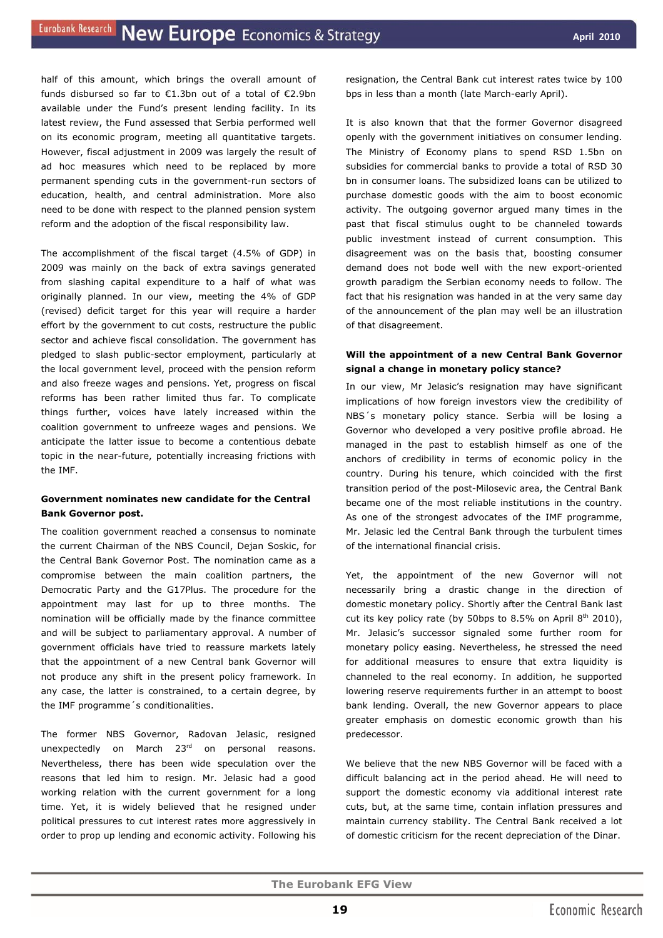half of this amount, which brings the overall amount of funds disbursed so far to €1.3bn out of a total of €2.9bn available under the Fund's present lending facility. In its latest review, the Fund assessed that Serbia performed well on its economic program, meeting all quantitative targets. However, fiscal adjustment in 2009 was largely the result of ad hoc measures which need to be replaced by more permanent spending cuts in the government-run sectors of education, health, and central administration. More also need to be done with respect to the planned pension system reform and the adoption of the fiscal responsibility law.

The accomplishment of the fiscal target (4.5% of GDP) in 2009 was mainly on the back of extra savings generated from slashing capital expenditure to a half of what was originally planned. In our view, meeting the 4% of GDP (revised) deficit target for this year will require a harder effort by the government to cut costs, restructure the public sector and achieve fiscal consolidation. The government has pledged to slash public-sector employment, particularly at the local government level, proceed with the pension reform and also freeze wages and pensions. Yet, progress on fiscal reforms has been rather limited thus far. To complicate things further, voices have lately increased within the coalition government to unfreeze wages and pensions. We anticipate the latter issue to become a contentious debate topic in the near-future, potentially increasing frictions with the IMF.

## **Government nominates new candidate for the Central Bank Governor post.**

The coalition government reached a consensus to nominate the current Chairman of the NBS Council, Dejan Soskic, for the Central Bank Governor Post. The nomination came as a compromise between the main coalition partners, the Democratic Party and the G17Plus. The procedure for the appointment may last for up to three months. The nomination will be officially made by the finance committee and will be subject to parliamentary approval. A number of government officials have tried to reassure markets lately that the appointment of a new Central bank Governor will not produce any shift in the present policy framework. In any case, the latter is constrained, to a certain degree, by the IMF programme´s conditionalities.

The former NBS Governor, Radovan Jelasic, resigned unexpectedly on March 23<sup>rd</sup> on personal reasons. Nevertheless, there has been wide speculation over the reasons that led him to resign. Mr. Jelasic had a good working relation with the current government for a long time. Yet, it is widely believed that he resigned under political pressures to cut interest rates more aggressively in order to prop up lending and economic activity. Following his

resignation, the Central Bank cut interest rates twice by 100 bps in less than a month (late March-early April).

It is also known that that the former Governor disagreed openly with the government initiatives on consumer lending. The Ministry of Economy plans to spend RSD 1.5bn on subsidies for commercial banks to provide a total of RSD 30 bn in consumer loans. The subsidized loans can be utilized to purchase domestic goods with the aim to boost economic activity. The outgoing governor argued many times in the past that fiscal stimulus ought to be channeled towards public investment instead of current consumption. This disagreement was on the basis that, boosting consumer demand does not bode well with the new export-oriented growth paradigm the Serbian economy needs to follow. The fact that his resignation was handed in at the very same day of the announcement of the plan may well be an illustration of that disagreement.

## **Will the appointment of a new Central Bank Governor signal a change in monetary policy stance?**

In our view, Mr Jelasic's resignation may have significant implications of how foreign investors view the credibility of NBS´s monetary policy stance. Serbia will be losing a Governor who developed a very positive profile abroad. He managed in the past to establish himself as one of the anchors of credibility in terms of economic policy in the country. During his tenure, which coincided with the first transition period of the post-Milosevic area, the Central Bank became one of the most reliable institutions in the country. As one of the strongest advocates of the IMF programme, Mr. Jelasic led the Central Bank through the turbulent times of the international financial crisis.

Yet, the appointment of the new Governor will not necessarily bring a drastic change in the direction of domestic monetary policy. Shortly after the Central Bank last cut its key policy rate (by 50bps to 8.5% on April  $8<sup>th</sup> 2010$ ), Mr. Jelasic's successor signaled some further room for monetary policy easing. Nevertheless, he stressed the need for additional measures to ensure that extra liquidity is channeled to the real economy. In addition, he supported lowering reserve requirements further in an attempt to boost bank lending. Overall, the new Governor appears to place greater emphasis on domestic economic growth than his predecessor.

We believe that the new NBS Governor will be faced with a difficult balancing act in the period ahead. He will need to support the domestic economy via additional interest rate cuts, but, at the same time, contain inflation pressures and maintain currency stability. The Central Bank received a lot of domestic criticism for the recent depreciation of the Dinar.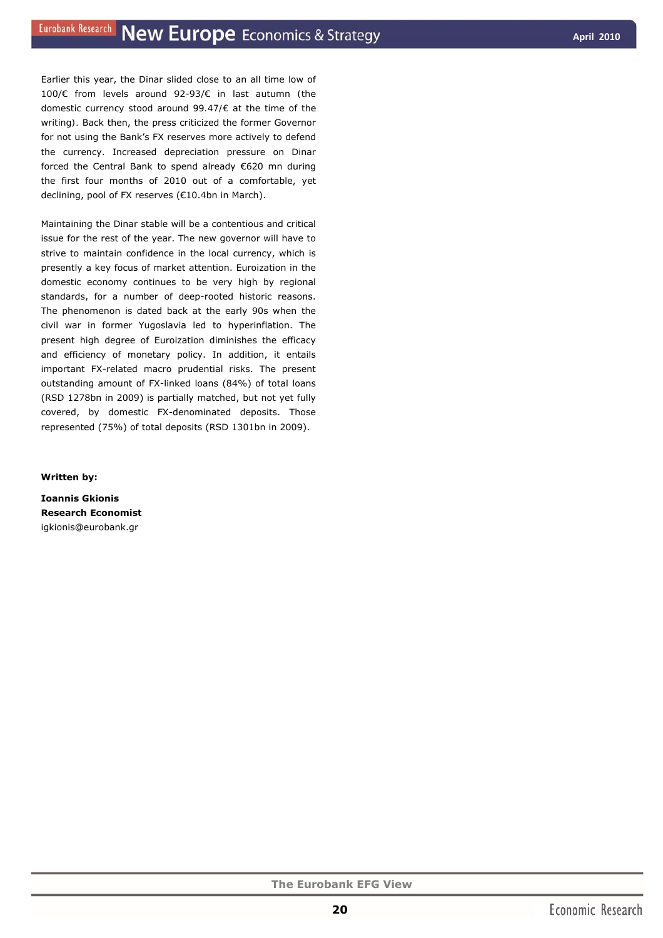Earlier this year, the Dinar slided close to an all time low of 100/€ from levels around 92-93/€ in last autumn *(the domestic currency stood around 99.47/€ at the time of the writing).* Back then, the press criticized the former Governor for not using the Bank's FX reserves more actively to defend the currency. Increased depreciation pressure on Dinar forced the Central Bank to spend already €620 mn during the first four months of 2010 out of a comfortable, yet declining, pool of FX reserves (€10.4bn in March).

Maintaining the Dinar stable will be a contentious and critical issue for the rest of the year. The new governor will have to strive to maintain confidence in the local currency, which is presently a key focus of market attention. Euroization in the domestic economy continues to be very high by regional standards, for a number of deep-rooted historic reasons. The phenomenon is dated back at the early 90s when the civil war in former Yugoslavia led to hyperinflation. The present high degree of Euroization diminishes the efficacy and efficiency of monetary policy. In addition, it entails important FX-related macro prudential risks. The present outstanding amount of FX-linked loans (84%) of total loans (RSD 1278bn in 2009) is partially matched, but not yet fully covered, by domestic FX-denominated deposits. Those represented (75%) of total deposits (RSD 1301bn in 2009).

*Written by:* 

**Ioannis Gkionis Research Economist**  igkionis@eurobank.gr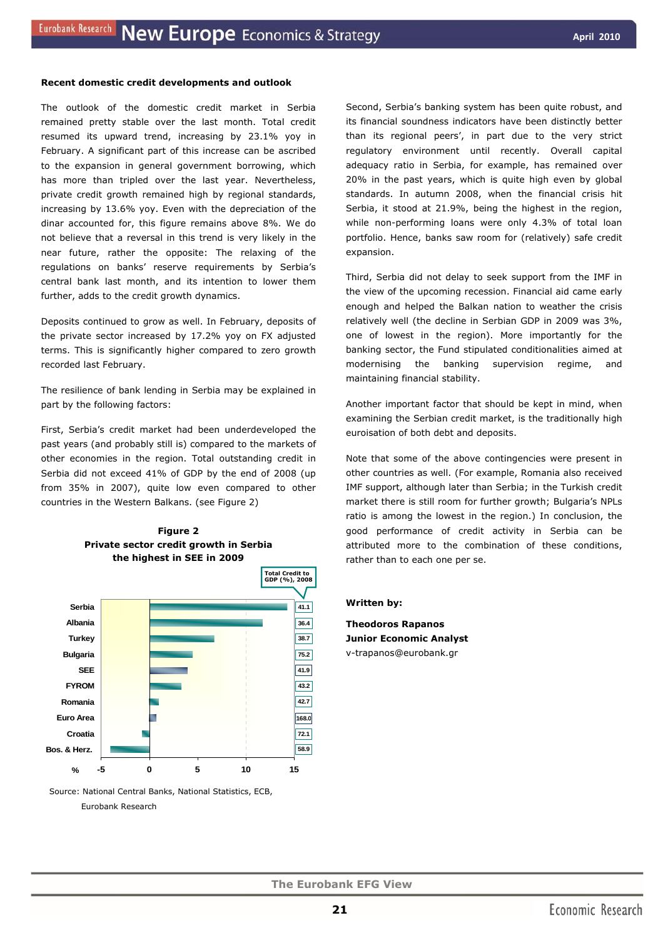#### **Recent domestic credit developments and outlook**

The outlook of the domestic credit market in Serbia remained pretty stable over the last month. Total credit resumed its upward trend, increasing by 23.1% yoy in February. A significant part of this increase can be ascribed to the expansion in general government borrowing, which has more than tripled over the last year. Nevertheless, private credit growth remained high by regional standards, increasing by 13.6% yoy. Even with the depreciation of the dinar accounted for, this figure remains above 8%. We do not believe that a reversal in this trend is very likely in the near future, rather the opposite: The relaxing of the regulations on banks' reserve requirements by Serbia's central bank last month, and its intention to lower them further, adds to the credit growth dynamics.

Deposits continued to grow as well. In February, deposits of the private sector increased by 17.2% yoy on FX adjusted terms. This is significantly higher compared to zero growth recorded last February.

The resilience of bank lending in Serbia may be explained in part by the following factors:

First, Serbia's credit market had been underdeveloped the past years (and probably still is) compared to the markets of other economies in the region. Total outstanding credit in Serbia did not exceed 41% of GDP by the end of 2008 (up from 35% in 2007), quite low even compared to other countries in the Western Balkans. (see Figure 2)



**Figure 2** 

 Source: National Central Banks, National Statistics, ECB, Eurobank Research

Second, Serbia's banking system has been quite robust, and its financial soundness indicators have been distinctly better than its regional peers', in part due to the very strict regulatory environment until recently. Overall capital adequacy ratio in Serbia, for example, has remained over 20% in the past years, which is quite high even by global standards. In autumn 2008, when the financial crisis hit Serbia, it stood at 21.9%, being the highest in the region, while non-performing loans were only 4.3% of total loan portfolio. Hence, banks saw room for (relatively) safe credit expansion.

Third, Serbia did not delay to seek support from the IMF in the view of the upcoming recession. Financial aid came early enough and helped the Balkan nation to weather the crisis relatively well (the decline in Serbian GDP in 2009 was 3%, one of lowest in the region). More importantly for the banking sector, the Fund stipulated conditionalities aimed at modernising the banking supervision regime, and maintaining financial stability.

Another important factor that should be kept in mind, when examining the Serbian credit market, is the traditionally high euroisation of both debt and deposits.

Note that some of the above contingencies were present in other countries as well. (For example, Romania also received IMF support, although later than Serbia; in the Turkish credit market there is still room for further growth; Bulgaria's NPLs ratio is among the lowest in the region.) In conclusion, the good performance of credit activity in Serbia can be attributed more to the combination of these conditions, rather than to each one per se.

#### *Written by:*

**Theodoros Rapanos Junior Economic Analyst**  v-trapanos@eurobank.gr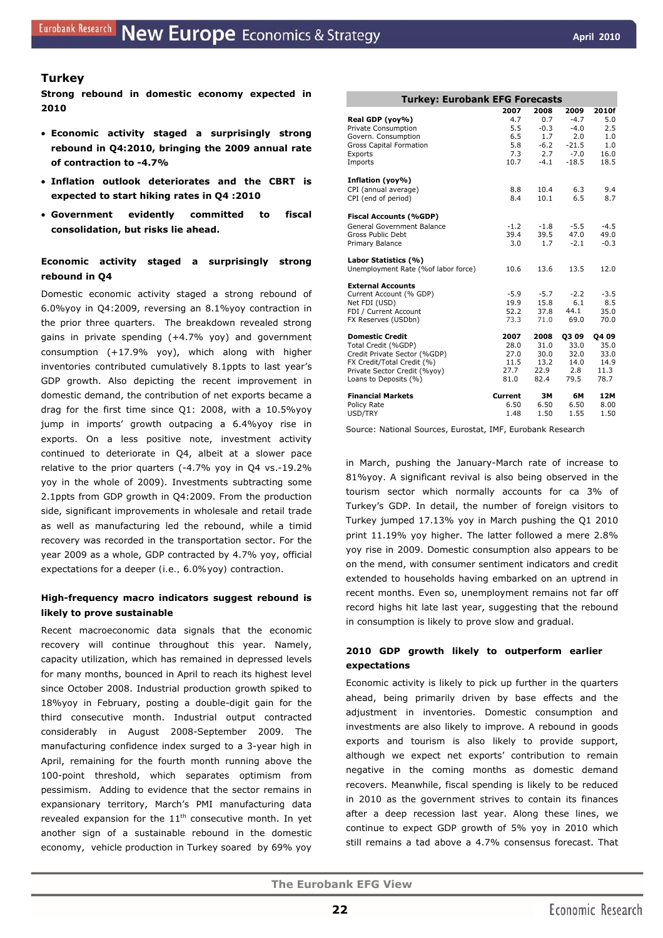## **Turkey**

**Strong rebound in domestic economy expected in 2010** 

- **Economic activity staged a surprisingly strong rebound in Q4:2010, bringing the 2009 annual rate of contraction to -4.7%**
- **Inflation outlook deteriorates and the CBRT is expected to start hiking rates in Q4 :2010**
- **Government evidently committed to fiscal consolidation, but risks lie ahead.**

## **Economic activity staged a surprisingly strong rebound in Q4**

Domestic economic activity staged a strong rebound of 6.0%yoy in Q4:2009, reversing an 8.1%yoy contraction in the prior three quarters. The breakdown revealed strong gains in private spending (+4.7% yoy) and government consumption (+17.9% yoy), which along with higher inventories contributed cumulatively 8.1ppts to last year's GDP growth. Also depicting the recent improvement in domestic demand, the contribution of net exports became a drag for the first time since Q1: 2008, with a 10.5%yoy jump in imports' growth outpacing a 6.4%yoy rise in exports. On a less positive note, investment activity continued to deteriorate in Q4, albeit at a slower pace relative to the prior quarters (-4.7% yoy in Q4 vs.-19.2% yoy in the whole of 2009). Investments subtracting some 2.1ppts from GDP growth in Q4:2009. From the production side, significant improvements in wholesale and retail trade as well as manufacturing led the rebound, while a timid recovery was recorded in the transportation sector. For the year 2009 as a whole, GDP contracted by 4.7% yoy, official expectations for a deeper *(i.e., 6.0%yoy)* contraction.

## **High-frequency macro indicators suggest rebound is likely to prove sustainable**

Recent macroeconomic data signals that the economic recovery will continue throughout this year. Namely, capacity utilization, which has remained in depressed levels for many months, bounced in April to reach its highest level since October 2008. Industrial production growth spiked to 18%yoy in February, posting a double-digit gain for the third consecutive month. Industrial output contracted considerably in August 2008-September 2009. The manufacturing confidence index surged to a 3-year high in April, remaining for the fourth month running above the 100-point threshold, which separates optimism from pessimism. Adding to evidence that the sector remains in expansionary territory, March's PMI manufacturing data revealed expansion for the  $11<sup>th</sup>$  consecutive month. In yet another sign of a sustainable rebound in the domestic economy, vehicle production in Turkey soared by 69% yoy

| <b>Turkey: Eurobank EFG Forecasts</b>                      |              |               |                  |              |  |  |  |
|------------------------------------------------------------|--------------|---------------|------------------|--------------|--|--|--|
|                                                            | 2007         | 2008          | 2009             | 2010f        |  |  |  |
| Real GDP (yoy%)<br>Private Consumption                     | 4.7<br>5.5   | 0.7<br>$-0.3$ | $-4.7$<br>$-4.0$ | 5.0<br>2.5   |  |  |  |
| Govern. Consumption                                        | 6.5          | 1.7           | 2.0              | 1.0          |  |  |  |
| Gross Capital Formation                                    | 5.8          | $-6.2$        | $-21.5$          | 1.0          |  |  |  |
| Exports                                                    | 7.3          | 2.7           | $-7.0$           | 16.0         |  |  |  |
| Imports                                                    | 10.7         | $-4.1$        | $-18.5$          | 18.5         |  |  |  |
| Inflation (yoy%)                                           |              |               |                  |              |  |  |  |
| CPI (annual average)                                       | 8.8          | 10.4          | 6.3              | 9.4          |  |  |  |
| CPI (end of period)                                        | 8.4          | 10.1          | 6.5              | 8.7          |  |  |  |
| <b>Fiscal Accounts (%GDP)</b>                              |              |               |                  |              |  |  |  |
| General Government Balance                                 | $-1.2$       | $-1.8$        | $-5.5$           | $-4.5$       |  |  |  |
| Gross Public Debt                                          | 39.4         | 39.5          | 47.0             | 49.0         |  |  |  |
| Primary Balance                                            | 3.0          | 1.7           | $-2.1$           | $-0.3$       |  |  |  |
| Labor Statistics (%)                                       |              |               |                  |              |  |  |  |
| Unemployment Rate (%of labor force)                        | 10.6         | 13.6          | 13.5             | 12.0         |  |  |  |
| <b>External Accounts</b>                                   |              |               |                  |              |  |  |  |
| Current Account (% GDP)                                    | $-5.9$       | $-5.7$        | $-2.2$           | $-3.5$       |  |  |  |
| Net FDI (USD)                                              | 19.9         | 15.8          | 6.1              | 8.5          |  |  |  |
| FDI / Current Account<br>FX Reserves (USDbn)               | 52.2<br>73.3 | 37.8<br>71.0  | 44.1<br>69.0     | 35.0<br>70.0 |  |  |  |
|                                                            |              |               |                  |              |  |  |  |
| <b>Domestic Credit</b>                                     | 2007         | 2008          | <b>Q309</b>      | Q4 09        |  |  |  |
| Total Credit (%GDP)                                        | 28.0         | 31.0          | 33.0             | 35.0         |  |  |  |
| Credit Private Sector (%GDP)<br>FX Credit/Total Credit (%) | 27.0<br>11.5 | 30.0<br>13.2  | 32.0<br>14.0     | 33.0<br>14.9 |  |  |  |
| Private Sector Credit (%yoy)                               | 27.7         | 22.9          | 2.8              | 11.3         |  |  |  |
| Loans to Deposits (%)                                      | 81.0         | 82.4          | 79.5             | 78.7         |  |  |  |
| <b>Financial Markets</b>                                   | Current      | 3M            | 6M               | 12M          |  |  |  |
| Policy Rate                                                | 6.50         | 6.50          | 6.50             | 8.00         |  |  |  |
| USD/TRY                                                    | 1.48         | 1.50          | 1.55             | 1.50         |  |  |  |

Source: National Sources, Eurostat, IMF, Eurobank Research

in March, pushing the January-March rate of increase to 81%yoy. A significant revival is also being observed in the tourism sector which normally accounts for ca 3% of Turkey's GDP. In detail, the number of foreign visitors to Turkey jumped 17.13% yoy in March pushing the Q1 2010 print 11.19% yoy higher. The latter followed a mere 2.8% yoy rise in 2009. Domestic consumption also appears to be on the mend, with consumer sentiment indicators and credit extended to households having embarked on an uptrend in recent months. Even so, unemployment remains not far off record highs hit late last year, suggesting that the rebound in consumption is likely to prove slow and gradual.

## **2010 GDP growth likely to outperform earlier expectations**

Economic activity is likely to pick up further in the quarters ahead, being primarily driven by base effects and the adjustment in inventories. Domestic consumption and investments are also likely to improve. A rebound in goods exports and tourism is also likely to provide support, although we expect net exports' contribution to remain negative in the coming months as domestic demand recovers. Meanwhile, fiscal spending is likely to be reduced in 2010 as the government strives to contain its finances after a deep recession last year. Along these lines, we continue to expect GDP growth of 5% yoy in 2010 which still remains a tad above a 4.7% consensus forecast. That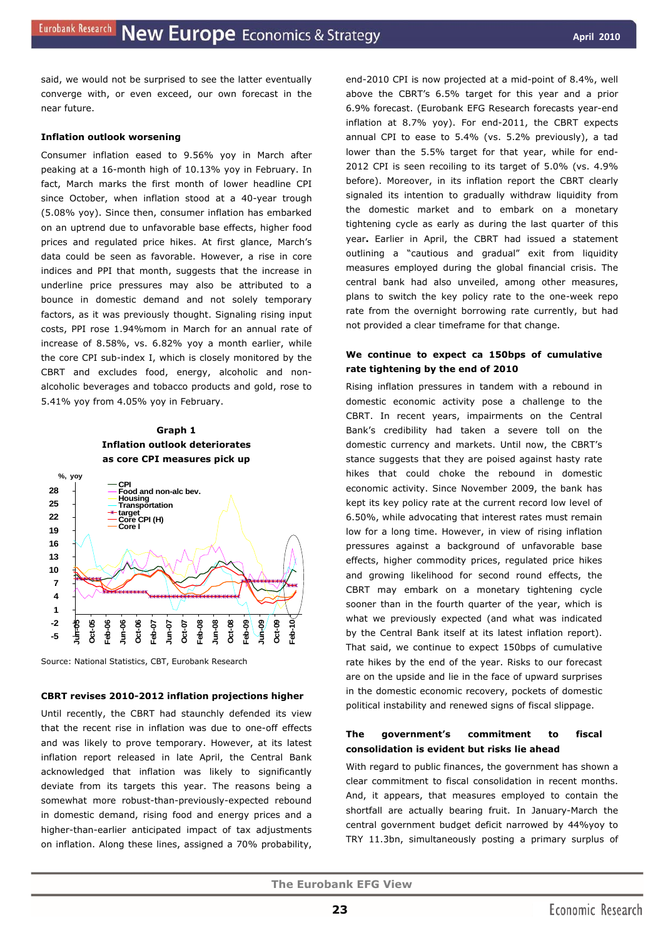said, we would not be surprised to see the latter eventually converge with, or even exceed, our own forecast in the near future.

#### **Inflation outlook worsening**

Consumer inflation eased to 9.56% yoy in March after peaking at a 16-month high of 10.13% yoy in February. In fact, March marks the first month of lower headline CPI since October, when inflation stood at a 40-year trough (5.08% yoy). Since then, consumer inflation has embarked on an uptrend due to unfavorable base effects, higher food prices and regulated price hikes. At first glance, March's data could be seen as favorable. However, a rise in core indices and PPI that month, suggests that the increase in underline price pressures may also be attributed to a bounce in domestic demand and not solely temporary factors, as it was previously thought. Signaling rising input costs, PPI rose 1.94%mom in March for an annual rate of increase of 8.58%, vs. 6.82% yoy a month earlier, while the core CPI sub-index I, which is closely monitored by the CBRT and excludes food, energy, alcoholic and nonalcoholic beverages and tobacco products and gold, rose to 5.41% yoy from 4.05% yoy in February.

## **Graph 1 Inflation outlook deteriorates as core CPI measures pick up**



Source: National Statistics, CBT, Eurobank Research

#### **CBRT revises 2010-2012 inflation projections higher**

Until recently, the CBRT had staunchly defended its view that the recent rise in inflation was due to one-off effects and was likely to prove temporary. However, at its latest inflation report released in late April, the Central Bank acknowledged that inflation was likely to significantly deviate from its targets this year. The reasons being a somewhat more robust-than-previously-expected rebound in domestic demand, rising food and energy prices and a higher-than-earlier anticipated impact of tax adjustments on inflation. Along these lines, assigned a 70% probability,

end-2010 CPI is now projected at a mid-point of 8.4%, well above the CBRT's 6.5% target for this year and a prior 6.9% forecast. (Eurobank EFG Research forecasts year-end inflation at 8.7% yoy). For end-2011, the CBRT expects annual CPI to ease to 5.4% (vs. 5.2% previously), a tad lower than the 5.5% target for that year, while for end-2012 CPI is seen recoiling to its target of 5.0% (vs. 4.9% before). Moreover, in its inflation report the CBRT clearly signaled its intention to gradually withdraw liquidity from the domestic market and to embark on a monetary tightening cycle as early as during the last quarter of this year**.** Earlier in April, the CBRT had issued a statement outlining a "cautious and gradual" exit from liquidity measures employed during the global financial crisis. The central bank had also unveiled, among other measures, plans to switch the key policy rate to the one-week repo rate from the overnight borrowing rate currently, but had not provided a clear timeframe for that change.

## **We continue to expect ca 150bps of cumulative rate tightening by the end of 2010**

Rising inflation pressures in tandem with a rebound in domestic economic activity pose a challenge to the CBRT. In recent years, impairments on the Central Bank's credibility had taken a severe toll on the domestic currency and markets. Until now, the CBRT's stance suggests that they are poised against hasty rate hikes that could choke the rebound in domestic economic activity. Since November 2009, the bank has kept its key policy rate at the current record low level of 6.50%, while advocating that interest rates must remain low for a long time. However, in view of rising inflation pressures against a background of unfavorable base effects, higher commodity prices, regulated price hikes and growing likelihood for second round effects, the CBRT may embark on a monetary tightening cycle sooner than in the fourth quarter of the year, which is what we previously expected (and what was indicated by the Central Bank itself at its latest inflation report). That said, we continue to expect 150bps of cumulative rate hikes by the end of the year. Risks to our forecast are on the upside and lie in the face of upward surprises in the domestic economic recovery, pockets of domestic political instability and renewed signs of fiscal slippage.

## **The government's commitment to fiscal consolidation is evident but risks lie ahead**

With regard to public finances, the government has shown a clear commitment to fiscal consolidation in recent months. And, it appears, that measures employed to contain the shortfall are actually bearing fruit. In January-March the central government budget deficit narrowed by 44%yoy to TRY 11.3bn, simultaneously posting a primary surplus of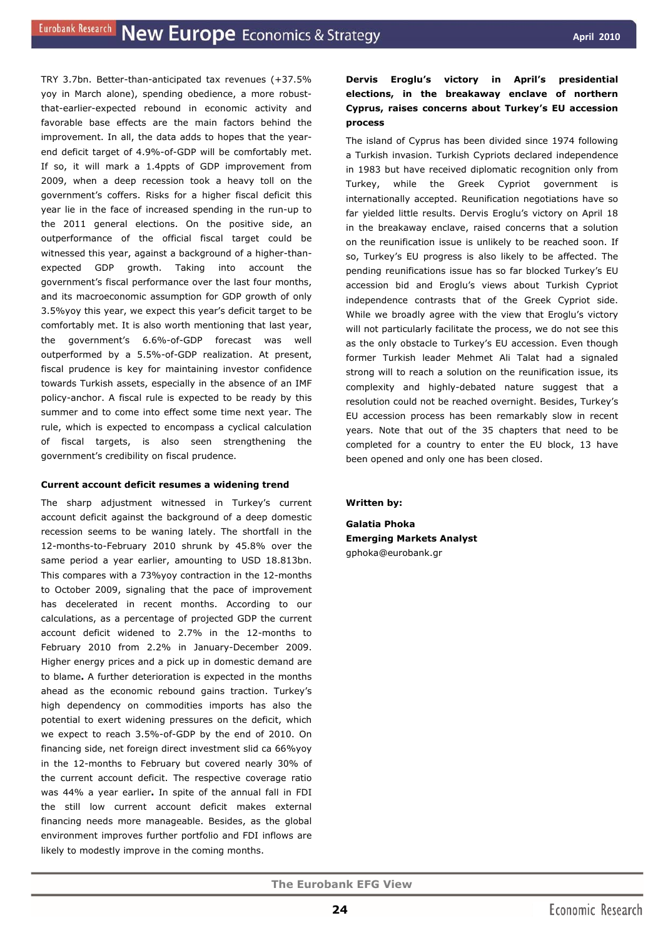TRY 3.7bn. Better-than-anticipated tax revenues (+37.5% yoy in March alone), spending obedience, a more robustthat-earlier-expected rebound in economic activity and favorable base effects are the main factors behind the improvement. In all, the data adds to hopes that the yearend deficit target of 4.9%-of-GDP will be comfortably met. If so, it will mark a 1.4ppts of GDP improvement from 2009, when a deep recession took a heavy toll on the government's coffers. Risks for a higher fiscal deficit this year lie in the face of increased spending in the run-up to the 2011 general elections. On the positive side, an outperformance of the official fiscal target could be witnessed this year, against a background of a higher-thanexpected GDP growth. Taking into account the government's fiscal performance over the last four months, and its macroeconomic assumption for GDP growth of only 3.5%yoy this year, we expect this year's deficit target to be comfortably met. It is also worth mentioning that last year, the government's 6.6%-of-GDP forecast was well outperformed by a 5.5%-of-GDP realization. At present, fiscal prudence is key for maintaining investor confidence towards Turkish assets, especially in the absence of an IMF policy-anchor. A fiscal rule is expected to be ready by this summer and to come into effect some time next year. The rule, which is expected to encompass a cyclical calculation of fiscal targets, is also seen strengthening the government's credibility on fiscal prudence.

#### **Current account deficit resumes a widening trend**

The sharp adjustment witnessed in Turkey's current account deficit against the background of a deep domestic recession seems to be waning lately. The shortfall in the 12-months-to-February 2010 shrunk by 45.8% over the same period a year earlier, amounting to USD 18.813bn. This compares with a 73%yoy contraction in the 12-months to October 2009, signaling that the pace of improvement has decelerated in recent months. According to our calculations, as a percentage of projected GDP the current account deficit widened to 2.7% in the 12-months to February 2010 from 2.2% in January-December 2009. Higher energy prices and a pick up in domestic demand are to blame**.** A further deterioration is expected in the months ahead as the economic rebound gains traction. Turkey's high dependency on commodities imports has also the potential to exert widening pressures on the deficit, which we expect to reach 3.5%-of-GDP by the end of 2010. On financing side, net foreign direct investment slid ca 66%yoy in the 12-months to February but covered nearly 30% of the current account deficit. The respective coverage ratio was 44% a year earlier**.** In spite of the annual fall in FDI the still low current account deficit makes external financing needs more manageable. Besides, as the global environment improves further portfolio and FDI inflows are likely to modestly improve in the coming months.

## **Dervis Eroglu's victory in April's presidential elections, in the breakaway enclave of northern Cyprus, raises concerns about Turkey's EU accession process**

The island of Cyprus has been divided since 1974 following a Turkish invasion. Turkish Cypriots declared independence in 1983 but have received diplomatic recognition only from Turkey, while the Greek Cypriot government is internationally accepted. Reunification negotiations have so far yielded little results. Dervis Eroglu's victory on April 18 in the breakaway enclave, raised concerns that a solution on the reunification issue is unlikely to be reached soon. If so, Turkey's EU progress is also likely to be affected. The pending reunifications issue has so far blocked Turkey's EU accession bid and Eroglu's views about Turkish Cypriot independence contrasts that of the Greek Cypriot side. While we broadly agree with the view that Eroglu's victory will not particularly facilitate the process, we do not see this as the only obstacle to Turkey's EU accession. Even though former Turkish leader Mehmet Ali Talat had a signaled strong will to reach a solution on the reunification issue, its complexity and highly-debated nature suggest that a resolution could not be reached overnight. Besides, Turkey's EU accession process has been remarkably slow in recent years. Note that out of the 35 chapters that need to be completed for a country to enter the EU block, 13 have been opened and only one has been closed.

*Written by:* 

**Galatia Phoka Emerging Markets Analyst**  gphoka@eurobank.gr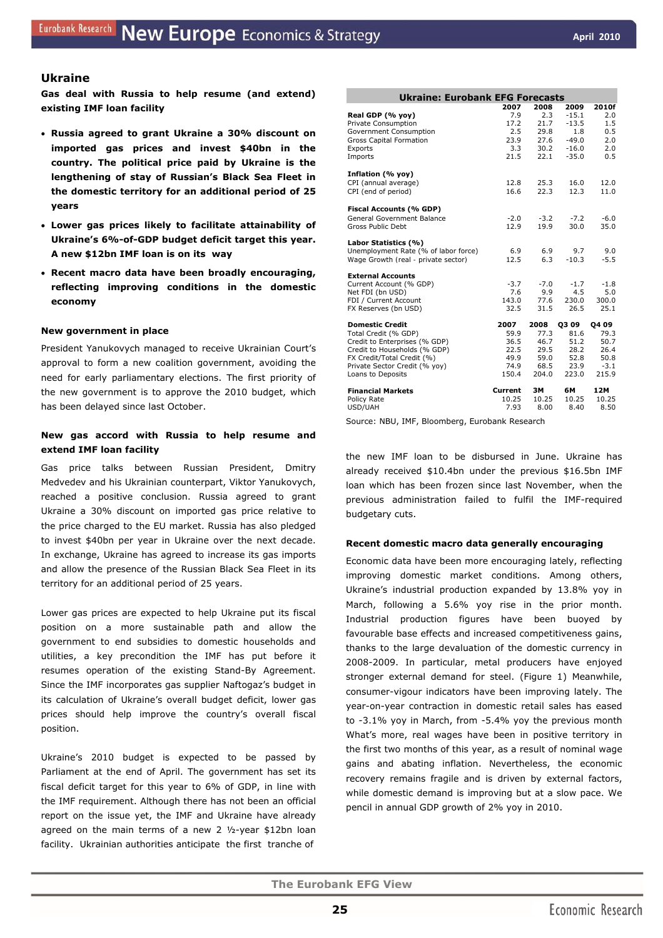## **Ukraine**

**Gas deal with Russia to help resume (and extend) existing IMF loan facility** 

- **Russia agreed to grant Ukraine a 30% discount on imported gas prices and invest \$40bn in the country. The political price paid by Ukraine is the lengthening of stay of Russian's Black Sea Fleet in the domestic territory for an additional period of 25 years**
- **Lower gas prices likely to facilitate attainability of Ukraine's 6%-of-GDP budget deficit target this year. A new \$12bn IMF loan is on its way**
- **Recent macro data have been broadly encouraging, reflecting improving conditions in the domestic economy**

#### **New government in place**

President Yanukovych managed to receive Ukrainian Court's approval to form a new coalition government, avoiding the need for early parliamentary elections. The first priority of the new government is to approve the 2010 budget, which has been delayed since last October.

## **New gas accord with Russia to help resume and extend IMF loan facility**

Gas price talks between Russian President, Dmitry Medvedev and his Ukrainian counterpart, Viktor Yanukovych, reached a positive conclusion. Russia agreed to grant Ukraine a 30% discount on imported gas price relative to the price charged to the EU market. Russia has also pledged to invest \$40bn per year in Ukraine over the next decade. In exchange, Ukraine has agreed to increase its gas imports and allow the presence of the Russian Black Sea Fleet in its territory for an additional period of 25 years.

Lower gas prices are expected to help Ukraine put its fiscal position on a more sustainable path and allow the government to end subsidies to domestic households and utilities, a key precondition the IMF has put before it resumes operation of the existing Stand-By Agreement. Since the IMF incorporates gas supplier Naftogaz's budget in its calculation of Ukraine's overall budget deficit, lower gas prices should help improve the country's overall fiscal position.

Ukraine's 2010 budget is expected to be passed by Parliament at the end of April. The government has set its fiscal deficit target for this year to 6% of GDP, in line with the IMF requirement. Although there has not been an official report on the issue yet, the IMF and Ukraine have already agreed on the main terms of a new 2 ½-year \$12bn loan facility. Ukrainian authorities anticipate the first tranche of

| <b>Ukraine: Eurobank EFG Forecasts</b> |         |        |         |        |
|----------------------------------------|---------|--------|---------|--------|
|                                        | 2007    | 2008   | 2009    | 2010f  |
| Real GDP (% yoy)                       | 7.9     | 2.3    | $-15.1$ | 2.0    |
| Private Consumption                    | 17.2    | 21.7   | $-13.5$ | 1.5    |
| Government Consumption                 | 2.5     | 29.8   | 1.8     | 0.5    |
| <b>Gross Capital Formation</b>         | 23.9    | 27.6   | $-49.0$ | 2.0    |
| Exports                                | 3.3     | 30.2   | $-16.0$ | 2.0    |
| Imports                                | 21.5    | 22.1   | $-35.0$ | 0.5    |
| Inflation (% yoy)                      |         |        |         |        |
| CPI (annual average)                   | 12.8    | 25.3   | 16.0    | 12.0   |
| CPI (end of period)                    | 16.6    | 22.3   | 12.3    | 11.0   |
| Fiscal Accounts (% GDP)                |         |        |         |        |
| General Government Balance             | $-2.0$  | $-3.2$ | $-7.2$  | $-6.0$ |
| Gross Public Debt                      | 12.9    | 19.9   | 30.0    | 35.0   |
|                                        |         |        |         |        |
| Labor Statistics (%)                   |         |        |         |        |
| Unemployment Rate (% of labor force)   | 6.9     | 6.9    | 9.7     | 9.0    |
| Wage Growth (real - private sector)    | 12.5    | 6.3    | $-10.3$ | $-5.5$ |
| <b>External Accounts</b>               |         |        |         |        |
| Current Account (% GDP)                | $-3.7$  | $-7.0$ | $-1.7$  | $-1.8$ |
| Net FDI (bn USD)                       | 7.6     | 9.9    | 4.5     | 5.0    |
| FDI / Current Account                  | 143.0   | 77.6   | 230.0   | 300.0  |
| FX Reserves (bn USD)                   | 32.5    | 31.5   | 26.5    | 25.1   |
| <b>Domestic Credit</b>                 | 2007    | 2008   | Q309    | 04 09  |
| Total Credit (% GDP)                   | 59.9    | 77.3   | 81.6    | 79.3   |
| Credit to Enterprises (% GDP)          | 36.5    | 46.7   | 51.2    | 50.7   |
| Credit to Households (% GDP)           | 22.5    | 29.5   | 28.2    | 26.4   |
| FX Credit/Total Credit (%)             | 49.9    | 59.0   | 52.8    | 50.8   |
| Private Sector Credit (% yoy)          | 74.9    | 68.5   | 23.9    | $-3.1$ |
| Loans to Deposits                      | 150.4   | 204.0  | 223.0   | 215.9  |
| <b>Financial Markets</b>               | Current | 3M     | 6M      | 12M    |
| Policy Rate                            | 10.25   | 10.25  | 10.25   | 10.25  |
| USD/UAH                                | 7.93    | 8.00   | 8.40    | 8.50   |

Source: NBU, IMF, Bloomberg, Eurobank Research

the new IMF loan to be disbursed in June. Ukraine has already received \$10.4bn under the previous \$16.5bn IMF loan which has been frozen since last November, when the previous administration failed to fulfil the IMF-required budgetary cuts.

#### **Recent domestic macro data generally encouraging**

Economic data have been more encouraging lately, reflecting improving domestic market conditions. Among others, Ukraine's industrial production expanded by 13.8% yoy in March, following a 5.6% yoy rise in the prior month. Industrial production figures have been buoyed by favourable base effects and increased competitiveness gains, thanks to the large devaluation of the domestic currency in 2008-2009. In particular, metal producers have enjoyed stronger external demand for steel. (Figure 1) Meanwhile, consumer-vigour indicators have been improving lately. The year-on-year contraction in domestic retail sales has eased to -3.1% yoy in March, from -5.4% yoy the previous month What's more, real wages have been in positive territory in the first two months of this year, as a result of nominal wage gains and abating inflation. Nevertheless, the economic recovery remains fragile and is driven by external factors, while domestic demand is improving but at a slow pace. We pencil in annual GDP growth of 2% yoy in 2010.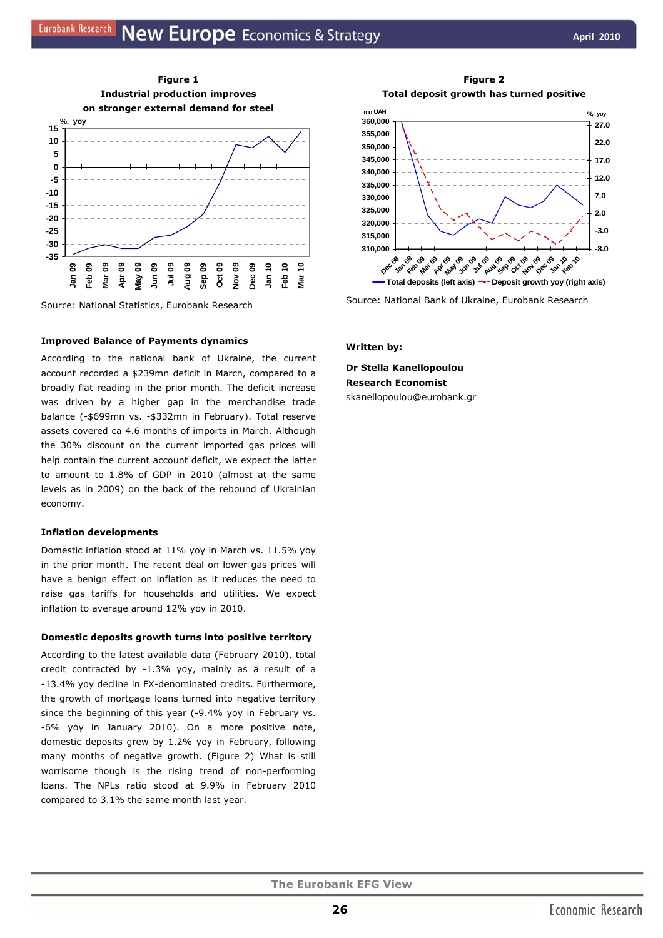

Source: National Statistics, Eurobank Research

#### **Improved Balance of Payments dynamics**

According to the national bank of Ukraine, the current account recorded a \$239mn deficit in March, compared to a broadly flat reading in the prior month. The deficit increase was driven by a higher gap in the merchandise trade balance (-\$699mn vs. -\$332mn in February). Total reserve assets covered ca 4.6 months of imports in March. Although the 30% discount on the current imported gas prices will help contain the current account deficit, we expect the latter to amount to 1.8% of GDP in 2010 (almost at the same levels as in 2009) on the back of the rebound of Ukrainian economy.

#### **Inflation developments**

Domestic inflation stood at 11% yoy in March vs. 11.5% yoy in the prior month. The recent deal on lower gas prices will have a benign effect on inflation as it reduces the need to raise gas tariffs for households and utilities. We expect inflation to average around 12% yoy in 2010.

#### **Domestic deposits growth turns into positive territory**

According to the latest available data (February 2010), total credit contracted by -1.3% yoy, mainly as a result of a -13.4% yoy decline in FX-denominated credits. Furthermore, the growth of mortgage loans turned into negative territory since the beginning of this year (-9.4% yoy in February vs. -6% yoy in January 2010). On a more positive note, domestic deposits grew by 1.2% yoy in February, following many months of negative growth. (Figure 2) What is still worrisome though is the rising trend of non-performing loans. The NPLs ratio stood at 9.9% in February 2010 compared to 3.1% the same month last year.

**Figure 2 Total deposit growth has turned positive** 



Source: National Bank of Ukraine, Eurobank Research

#### *Written by:*

**Dr Stella Kanellopoulou Research Economist**  skanellopoulou@eurobank.gr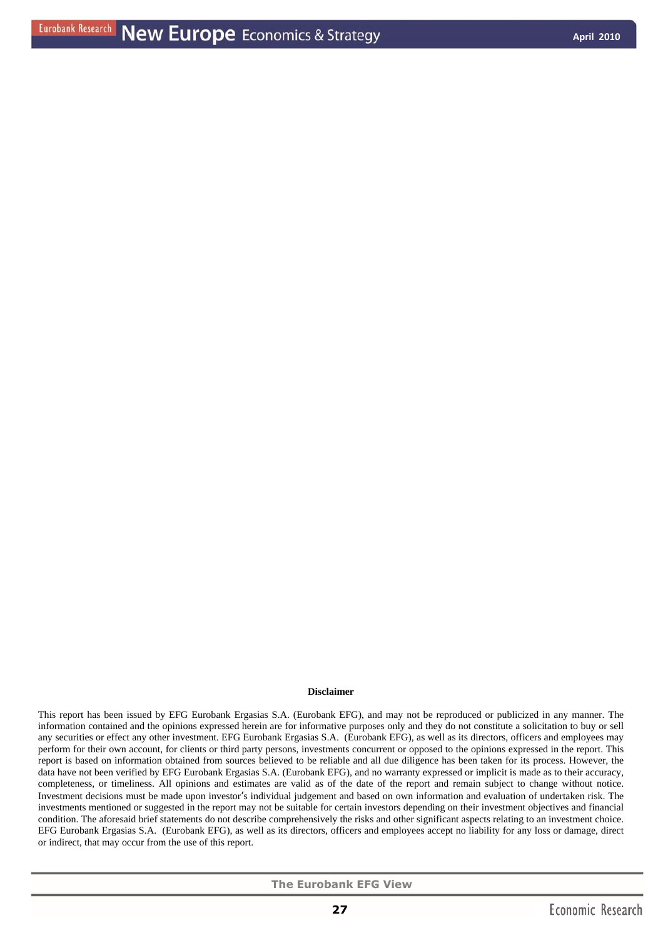#### **Disclaimer**

This report has been issued by EFG Eurobank Ergasias S.A. (Eurobank EFG), and may not be reproduced or publicized in any manner. The information contained and the opinions expressed herein are for informative purposes only and they do not constitute a solicitation to buy or sell any securities or effect any other investment. EFG Eurobank Ergasias S.A. (Eurobank EFG), as well as its directors, officers and employees may perform for their own account, for clients or third party persons, investments concurrent or opposed to the opinions expressed in the report. This report is based on information obtained from sources believed to be reliable and all due diligence has been taken for its process. However, the data have not been verified by EFG Eurobank Ergasias S.A. (Eurobank EFG), and no warranty expressed or implicit is made as to their accuracy, completeness, or timeliness. All opinions and estimates are valid as of the date of the report and remain subject to change without notice. Investment decisions must be made upon investor's individual judgement and based on own information and evaluation of undertaken risk. The investments mentioned or suggested in the report may not be suitable for certain investors depending on their investment objectives and financial condition. The aforesaid brief statements do not describe comprehensively the risks and other significant aspects relating to an investment choice. EFG Eurobank Ergasias S.A. (Eurobank EFG), as well as its directors, officers and employees accept no liability for any loss or damage, direct or indirect, that may occur from the use of this report.